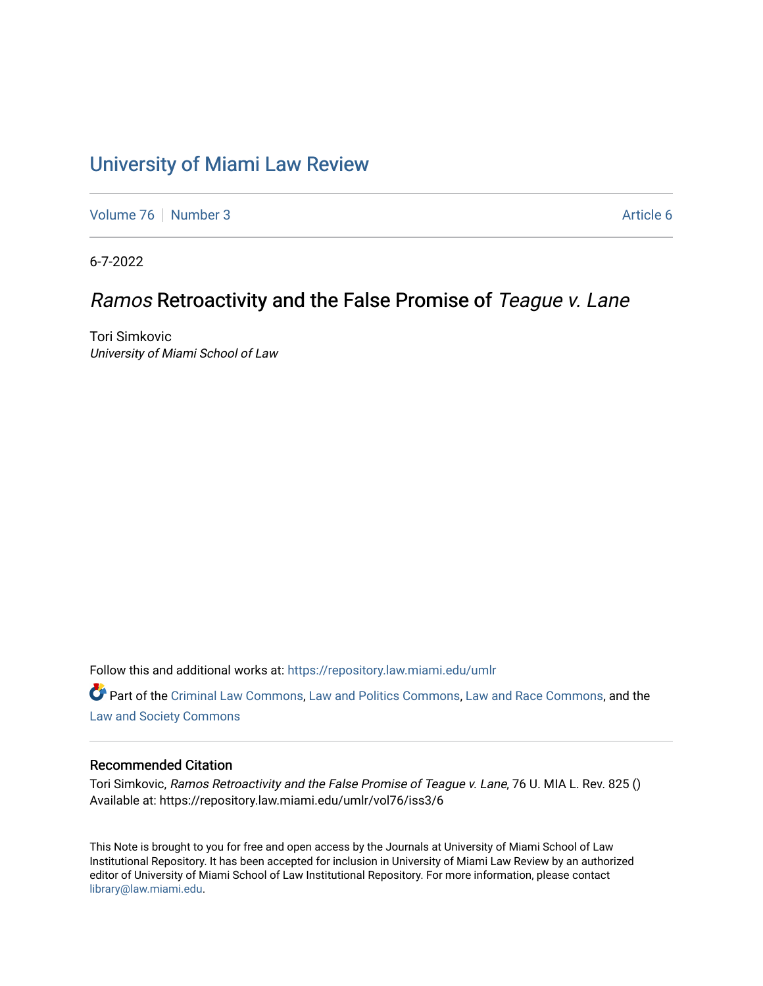# [University of Miami Law Review](https://repository.law.miami.edu/umlr)

[Volume 76](https://repository.law.miami.edu/umlr/vol76) [Number 3](https://repository.law.miami.edu/umlr/vol76/iss3) Article 6

6-7-2022

# Ramos Retroactivity and the False Promise of Teague v. Lane

Tori Simkovic University of Miami School of Law

Follow this and additional works at: [https://repository.law.miami.edu/umlr](https://repository.law.miami.edu/umlr?utm_source=repository.law.miami.edu%2Fumlr%2Fvol76%2Fiss3%2F6&utm_medium=PDF&utm_campaign=PDFCoverPages)

Part of the [Criminal Law Commons,](https://network.bepress.com/hgg/discipline/912?utm_source=repository.law.miami.edu%2Fumlr%2Fvol76%2Fiss3%2F6&utm_medium=PDF&utm_campaign=PDFCoverPages) [Law and Politics Commons](https://network.bepress.com/hgg/discipline/867?utm_source=repository.law.miami.edu%2Fumlr%2Fvol76%2Fiss3%2F6&utm_medium=PDF&utm_campaign=PDFCoverPages), [Law and Race Commons](https://network.bepress.com/hgg/discipline/1300?utm_source=repository.law.miami.edu%2Fumlr%2Fvol76%2Fiss3%2F6&utm_medium=PDF&utm_campaign=PDFCoverPages), and the [Law and Society Commons](https://network.bepress.com/hgg/discipline/853?utm_source=repository.law.miami.edu%2Fumlr%2Fvol76%2Fiss3%2F6&utm_medium=PDF&utm_campaign=PDFCoverPages) 

#### Recommended Citation

Tori Simkovic, Ramos Retroactivity and the False Promise of Teague v. Lane, 76 U. MIA L. Rev. 825 () Available at: https://repository.law.miami.edu/umlr/vol76/iss3/6

This Note is brought to you for free and open access by the Journals at University of Miami School of Law Institutional Repository. It has been accepted for inclusion in University of Miami Law Review by an authorized editor of University of Miami School of Law Institutional Repository. For more information, please contact [library@law.miami.edu.](mailto:library@law.miami.edu)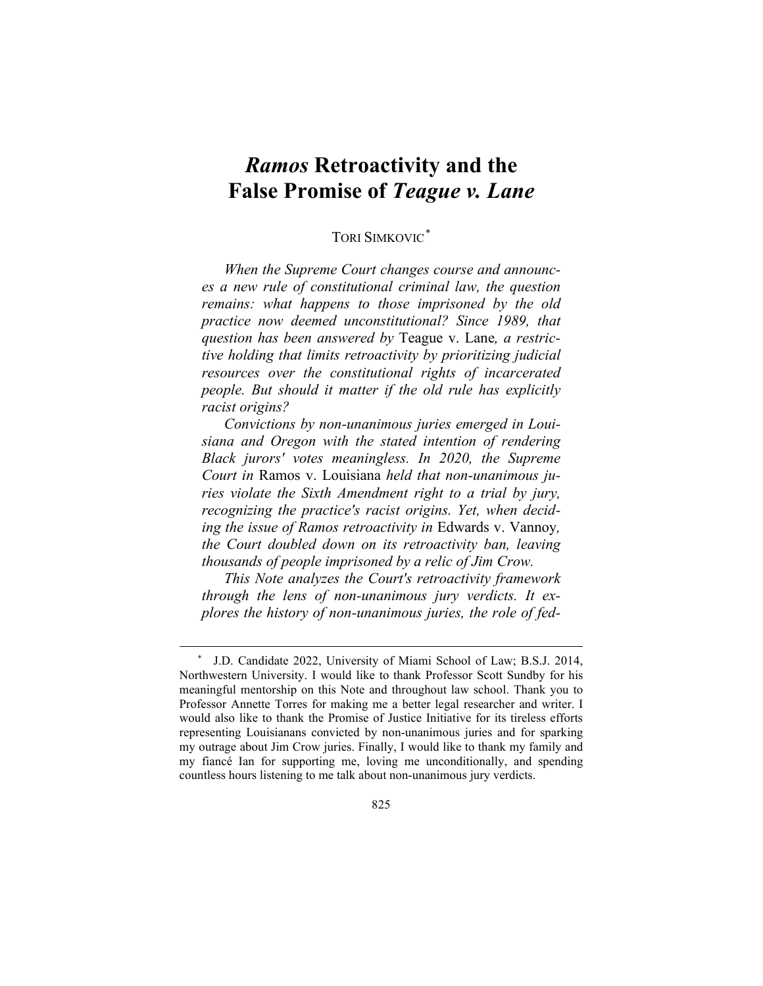# *Ramos* **Retroactivity and the False Promise of** *Teague v. Lane*

# TORI SIMKOVIC[\\*](#page-1-0)

*When the Supreme Court changes course and announces a new rule of constitutional criminal law, the question remains: what happens to those imprisoned by the old practice now deemed unconstitutional? Since 1989, that question has been answered by* Teague v. Lane*, a restrictive holding that limits retroactivity by prioritizing judicial resources over the constitutional rights of incarcerated people. But should it matter if the old rule has explicitly racist origins?*

*Convictions by non-unanimous juries emerged in Louisiana and Oregon with the stated intention of rendering Black jurors' votes meaningless. In 2020, the Supreme Court in* Ramos v. Louisiana *held that non-unanimous juries violate the Sixth Amendment right to a trial by jury, recognizing the practice's racist origins. Yet, when deciding the issue of Ramos retroactivity in* Edwards v. Vannoy*, the Court doubled down on its retroactivity ban, leaving thousands of people imprisoned by a relic of Jim Crow.* 

*This Note analyzes the Court's retroactivity framework through the lens of non-unanimous jury verdicts. It explores the history of non-unanimous juries, the role of fed-*

<span id="page-1-0"></span><sup>\*</sup> J.D. Candidate 2022, University of Miami School of Law; B.S.J. 2014, Northwestern University. I would like to thank Professor Scott Sundby for his meaningful mentorship on this Note and throughout law school. Thank you to Professor Annette Torres for making me a better legal researcher and writer. I would also like to thank the Promise of Justice Initiative for its tireless efforts representing Louisianans convicted by non-unanimous juries and for sparking my outrage about Jim Crow juries. Finally, I would like to thank my family and my fiancé Ian for supporting me, loving me unconditionally, and spending countless hours listening to me talk about non-unanimous jury verdicts.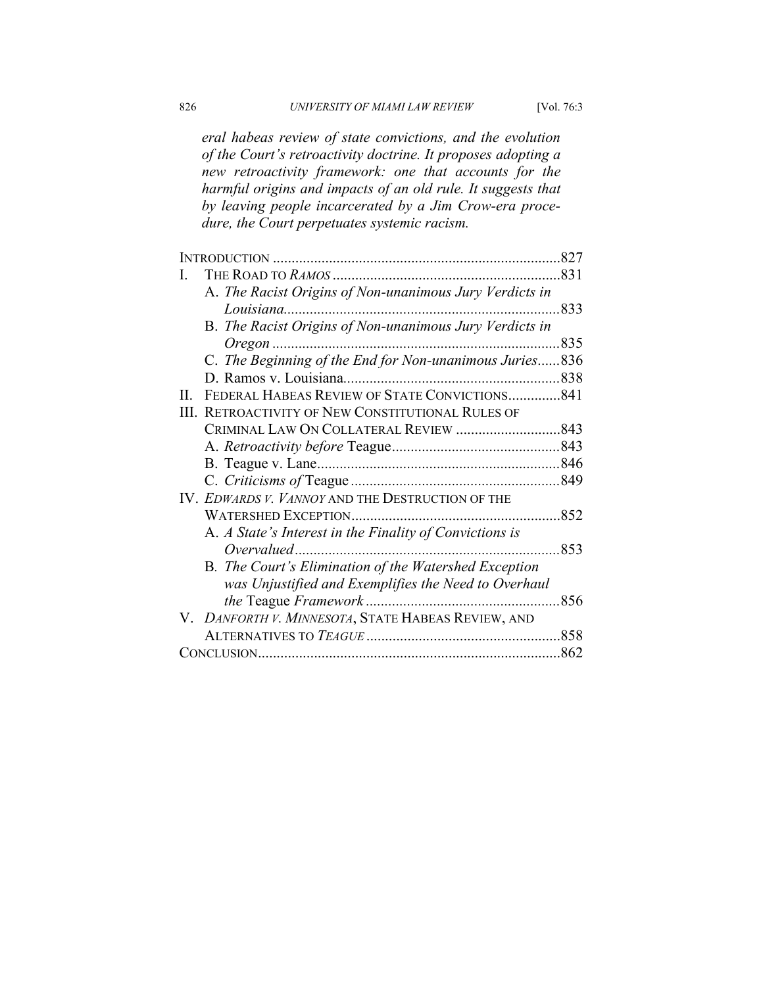*eral habeas review of state convictions, and the evolution of the Court's retroactivity doctrine. It proposes adopting a new retroactivity framework: one that accounts for the harmful origins and impacts of an old rule. It suggests that by leaving people incarcerated by a Jim Crow-era procedure, the Court perpetuates systemic racism.*

|    |                                                         | .827 |
|----|---------------------------------------------------------|------|
| I. |                                                         |      |
|    | A. The Racist Origins of Non-unanimous Jury Verdicts in |      |
|    |                                                         | 833  |
|    | B. The Racist Origins of Non-unanimous Jury Verdicts in |      |
|    | $O$ regon                                               | 835  |
|    | C. The Beginning of the End for Non-unanimous Juries836 |      |
|    |                                                         |      |
| Н. | FEDERAL HABEAS REVIEW OF STATE CONVICTIONS841           |      |
| Ш. | RETROACTIVITY OF NEW CONSTITUTIONAL RULES OF            |      |
|    |                                                         |      |
|    |                                                         |      |
|    |                                                         |      |
|    |                                                         |      |
|    | IV. EDWARDS V. VANNOY AND THE DESTRUCTION OF THE        |      |
|    |                                                         |      |
|    | A. A State's Interest in the Finality of Convictions is |      |
|    | Overvalued                                              | 853  |
|    | B. The Court's Elimination of the Watershed Exception   |      |
|    | was Unjustified and Exemplifies the Need to Overhaul    |      |
|    | <i>the</i> Teague <i>Framework</i>                      | 856  |
|    | V. DANFORTH V. MINNESOTA, STATE HABEAS REVIEW, AND      |      |
|    |                                                         |      |
|    |                                                         |      |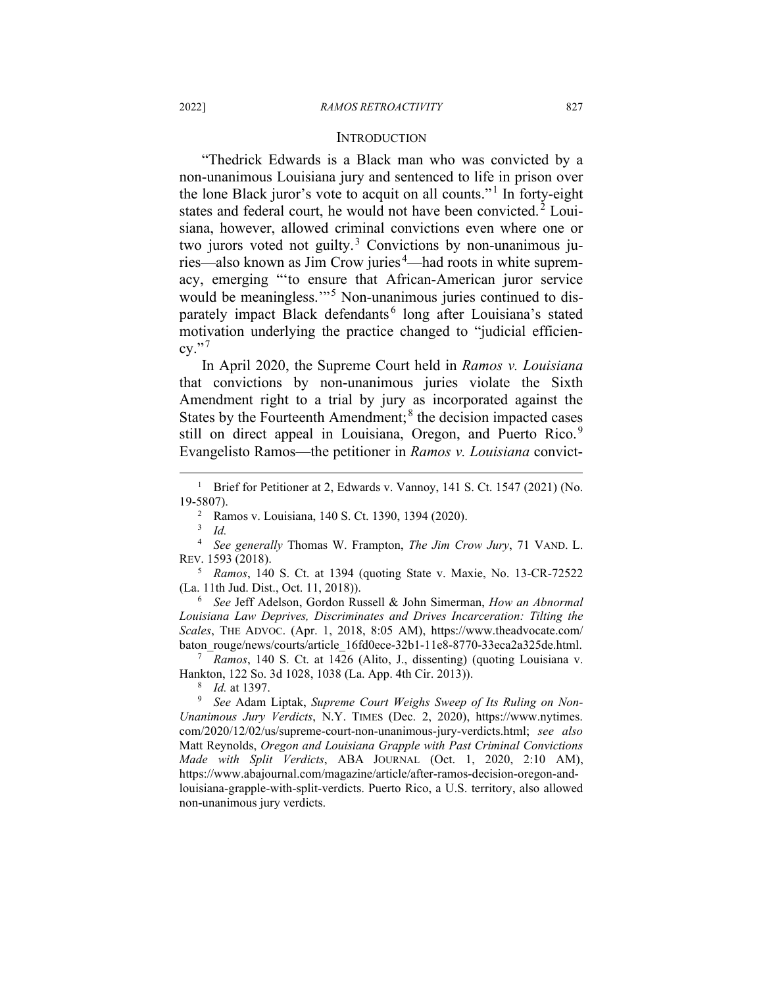#### **INTRODUCTION**

"Thedrick Edwards is a Black man who was convicted by a non-unanimous Louisiana jury and sentenced to life in prison over the lone Black juror's vote to acquit on all counts."<sup>[1](#page-3-0)</sup> In forty-eight states and federal court, he would not have been convicted.<sup>[2](#page-3-1)</sup> Louisiana, however, allowed criminal convictions even where one or two jurors voted not guilty.<sup>[3](#page-3-2)</sup> Convictions by non-unanimous ju-ries—also known as Jim Crow juries<sup>[4](#page-3-3)</sup>—had roots in white supremacy, emerging "'to ensure that African-American juror service would be meaningless."<sup>[5](#page-3-4)</sup> Non-unanimous juries continued to dis-parately impact Black defendants<sup>[6](#page-3-5)</sup> long after Louisiana's stated motivation underlying the practice changed to "judicial efficien $cy.$ "

In April 2020, the Supreme Court held in *Ramos v. Louisiana* that convictions by non-unanimous juries violate the Sixth Amendment right to a trial by jury as incorporated against the States by the Fourteenth Amendment; $<sup>8</sup>$  $<sup>8</sup>$  $<sup>8</sup>$  the decision impacted cases</sup> still on direct appeal in Louisiana, Oregon, and Puerto Rico.<sup>[9](#page-3-8)</sup> Evangelisto Ramos—the petitioner in *Ramos v. Louisiana* convict-

<sup>3</sup> *Id.*

<span id="page-3-5"></span><sup>6</sup> *See* Jeff Adelson, Gordon Russell & John Simerman, *How an Abnormal Louisiana Law Deprives, Discriminates and Drives Incarceration: Tilting the Scales*, THE ADVOC. (Apr. 1, 2018, 8:05 AM), https://www.theadvocate.com/ baton\_rouge/news/courts/article\_16fd0ece-32b1-11e8-8770-33eca2a325de.html.

<span id="page-3-6"></span><sup>7</sup> *Ramos*, 140 S. Ct. at 1426 (Alito, J., dissenting) (quoting Louisiana v. Hankton, 122 So. 3d 1028, 1038 (La. App. 4th Cir. 2013)).

<sup>8</sup> *Id.* at 1397.

<span id="page-3-8"></span><span id="page-3-7"></span><sup>9</sup> *See* Adam Liptak, *Supreme Court Weighs Sweep of Its Ruling on Non-Unanimous Jury Verdicts*, N.Y. TIMES (Dec. 2, 2020), https://www.nytimes. com/2020/12/02/us/supreme-court-non-unanimous-jury-verdicts.html; *see also*  Matt Reynolds, *Oregon and Louisiana Grapple with Past Criminal Convictions Made with Split Verdicts*, ABA JOURNAL (Oct. 1, 2020, 2:10 AM), https://www.abajournal.com/magazine/article/after-ramos-decision-oregon-andlouisiana-grapple-with-split-verdicts. Puerto Rico, a U.S. territory, also allowed non-unanimous jury verdicts.

<span id="page-3-0"></span><sup>&</sup>lt;sup>1</sup> Brief for Petitioner at 2, Edwards v. Vannoy, 141 S. Ct. 1547 (2021) (No. 19-5807).

<sup>2</sup> Ramos v. Louisiana, 140 S. Ct. 1390, 1394 (2020).

<span id="page-3-3"></span><span id="page-3-2"></span><span id="page-3-1"></span><sup>4</sup> *See generally* Thomas W. Frampton, *The Jim Crow Jury*, 71 VAND. L. REV. 1593 (2018).

<span id="page-3-4"></span><sup>5</sup> *Ramos*, 140 S. Ct. at 1394 (quoting State v. Maxie, No. 13-CR-72522 (La. 11th Jud. Dist., Oct. 11, 2018)).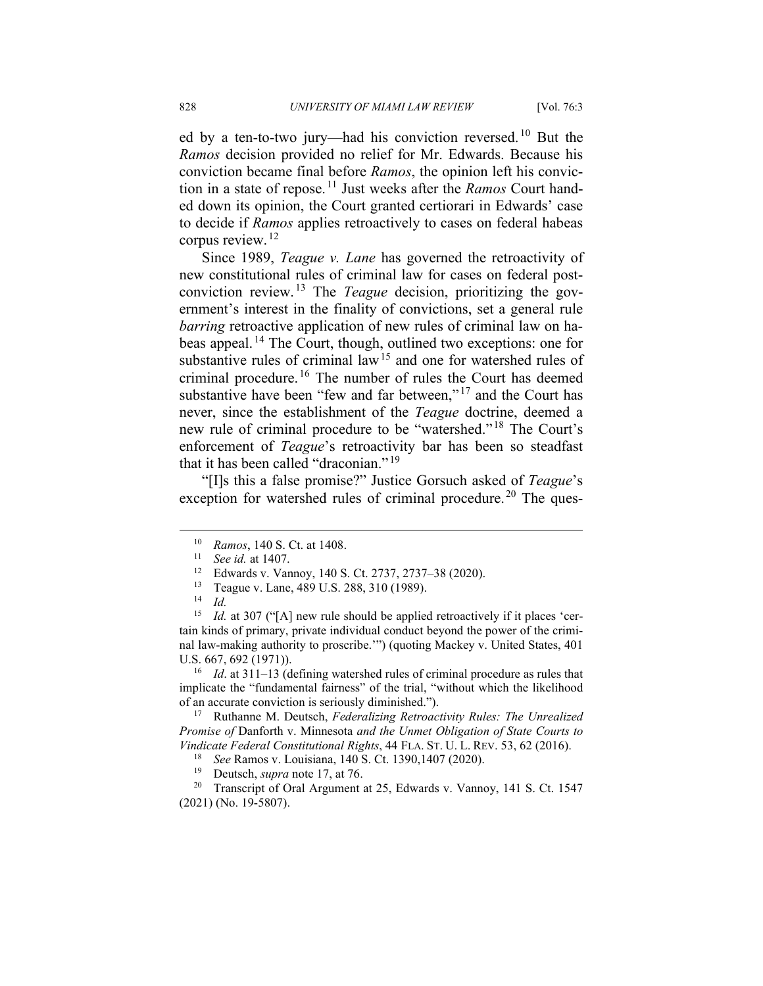ed by a ten-to-two jury—had his conviction reversed.<sup>[10](#page-4-0)</sup> But the *Ramos* decision provided no relief for Mr. Edwards. Because his conviction became final before *Ramos*, the opinion left his conviction in a state of repose. [11](#page-4-1) Just weeks after the *Ramos* Court handed down its opinion, the Court granted certiorari in Edwards' case to decide if *Ramos* applies retroactively to cases on federal habeas corpus review. [12](#page-4-2)

Since 1989, *Teague v. Lane* has governed the retroactivity of new constitutional rules of criminal law for cases on federal postconviction review. [13](#page-4-3) The *Teague* decision, prioritizing the government's interest in the finality of convictions, set a general rule *barring* retroactive application of new rules of criminal law on habeas appeal. [14](#page-4-4) The Court, though, outlined two exceptions: one for substantive rules of criminal law<sup>[15](#page-4-5)</sup> and one for watershed rules of criminal procedure.<sup>[16](#page-4-6)</sup> The number of rules the Court has deemed substantive have been "few and far between,"<sup>[17](#page-4-7)</sup> and the Court has never, since the establishment of the *Teague* doctrine, deemed a new rule of criminal procedure to be "watershed." [18](#page-4-8) The Court's enforcement of *Teague*'s retroactivity bar has been so steadfast that it has been called "draconian."<sup>[19](#page-4-9)</sup>

<span id="page-4-0"></span>"[I]s this a false promise?" Justice Gorsuch asked of *Teague*'s exception for watershed rules of criminal procedure.<sup>[20](#page-4-10)</sup> The ques-

<span id="page-4-6"></span><sup>16</sup> *Id*. at 311–13 (defining watershed rules of criminal procedure as rules that implicate the "fundamental fairness" of the trial, "without which the likelihood of an accurate conviction is seriously diminished.").

<span id="page-4-7"></span><sup>17</sup> Ruthanne M. Deutsch, *Federalizing Retroactivity Rules: The Unrealized Promise of* Danforth v. Minnesota *and the Unmet Obligation of State Courts to Vindicate Federal Constitutional Rights*, 44 FLA. ST. U. L. REV. 53, 62 (2016).

<span id="page-4-10"></span><span id="page-4-9"></span><span id="page-4-8"></span><sup>20</sup> Transcript of Oral Argument at 25, Edwards v. Vannoy, 141 S. Ct. 1547 (2021) (No. 19-5807).

<sup>10</sup> *Ramos*, 140 S. Ct. at 1408.

<sup>11</sup> *See id.* at 1407.

<sup>&</sup>lt;sup>12</sup> Edwards v. Vannoy, 140 S. Ct. 2737, 2737–38 (2020).<br><sup>13</sup> Teague v. Lane 480 U.S. 288, 310 (1080).

Teague v. Lane, 489 U.S. 288, 310 (1989).

 $\frac{14}{15}$  *Id.* 

<span id="page-4-5"></span><span id="page-4-4"></span><span id="page-4-3"></span><span id="page-4-2"></span><span id="page-4-1"></span>*Id.* at 307 ("[A] new rule should be applied retroactively if it places 'certain kinds of primary, private individual conduct beyond the power of the criminal law-making authority to proscribe.'") (quoting Mackey v. United States, 401 U.S. 667, 692 (1971)).

<sup>18</sup> *See* Ramos v. Louisiana, 140 S. Ct. 1390,1407 (2020).

<sup>19</sup> Deutsch, *supra* note 17, at 76.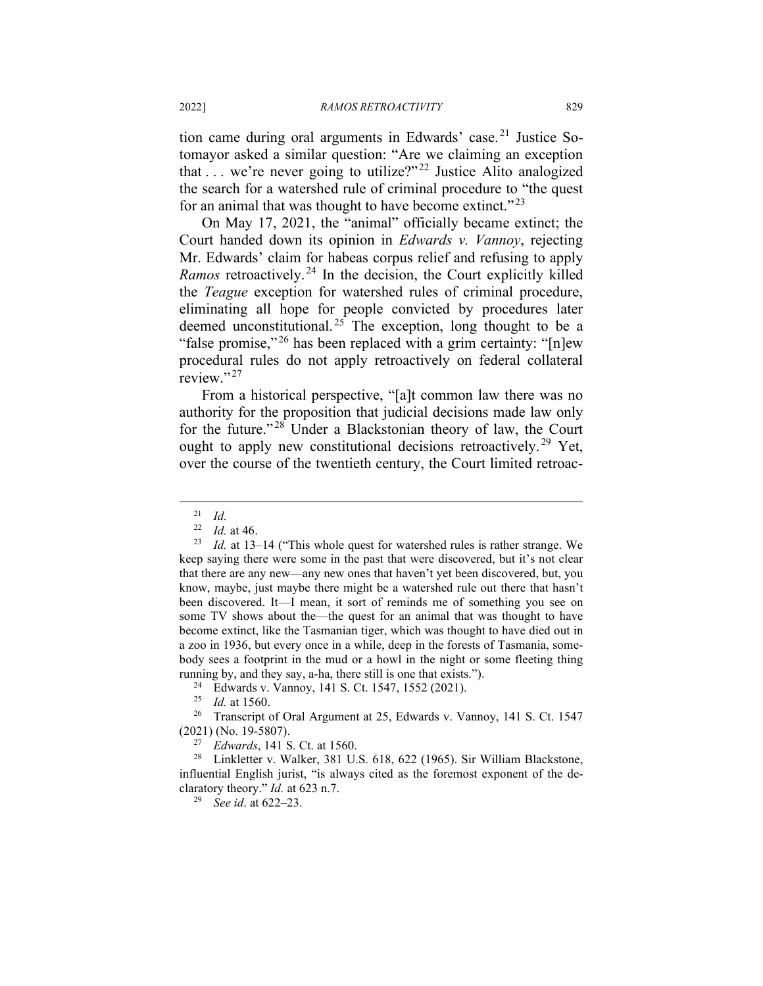tion came during oral arguments in Edwards' case. [21](#page-5-0) Justice Sotomayor asked a similar question: "Are we claiming an exception that  $\dots$  we're never going to utilize?"<sup>[22](#page-5-1)</sup> Justice Alito analogized the search for a watershed rule of criminal procedure to "the quest for an animal that was thought to have become extinct."<sup>[23](#page-5-2)</sup>

On May 17, 2021, the "animal" officially became extinct; the Court handed down its opinion in *Edwards v. Vannoy*, rejecting Mr. Edwards' claim for habeas corpus relief and refusing to apply *Ramos* retroactively.<sup>[24](#page-5-3)</sup> In the decision, the Court explicitly killed the *Teague* exception for watershed rules of criminal procedure, eliminating all hope for people convicted by procedures later deemed unconstitutional.<sup>[25](#page-5-4)</sup> The exception, long thought to be a "false promise,"<sup>[26](#page-5-5)</sup> has been replaced with a grim certainty: " $[n]$ ew" procedural rules do not apply retroactively on federal collateral review."<sup>[27](#page-5-6)</sup>

From a historical perspective, "[a]t common law there was no authority for the proposition that judicial decisions made law only for the future."<sup>[28](#page-5-7)</sup> Under a Blackstonian theory of law, the Court ought to apply new constitutional decisions retroactively.<sup>[29](#page-5-8)</sup> Yet, over the course of the twentieth century, the Court limited retroac-

 $\frac{21}{22}$  *Id.* 

*Id.* at 46.

<span id="page-5-2"></span><span id="page-5-1"></span><span id="page-5-0"></span><sup>23</sup> *Id.* at 13–14 ("This whole quest for watershed rules is rather strange. We keep saying there were some in the past that were discovered, but it's not clear that there are any new—any new ones that haven't yet been discovered, but, you know, maybe, just maybe there might be a watershed rule out there that hasn't been discovered. It—I mean, it sort of reminds me of something you see on some TV shows about the—the quest for an animal that was thought to have become extinct, like the Tasmanian tiger, which was thought to have died out in a zoo in 1936, but every once in a while, deep in the forests of Tasmania, somebody sees a footprint in the mud or a howl in the night or some fleeting thing running by, and they say, a-ha, there still is one that exists."). 24 Edwards v. Vannoy, 141 S. Ct. 1547, 1552 (2021).

<sup>25</sup> *Id.* at 1560.

<span id="page-5-5"></span><span id="page-5-4"></span><span id="page-5-3"></span><sup>&</sup>lt;sup>26</sup> Transcript of Oral Argument at 25, Edwards v. Vannoy, 141 S. Ct. 1547 (2021) (No. 19-5807).

*Edwards*, 141 S. Ct. at 1560.

<span id="page-5-8"></span><span id="page-5-7"></span><span id="page-5-6"></span><sup>28</sup> Linkletter v. Walker, 381 U.S. 618, 622 (1965). Sir William Blackstone, influential English jurist, "is always cited as the foremost exponent of the declaratory theory." *Id.* at 623 n.7.

<sup>29</sup> *See id*. at 622–23.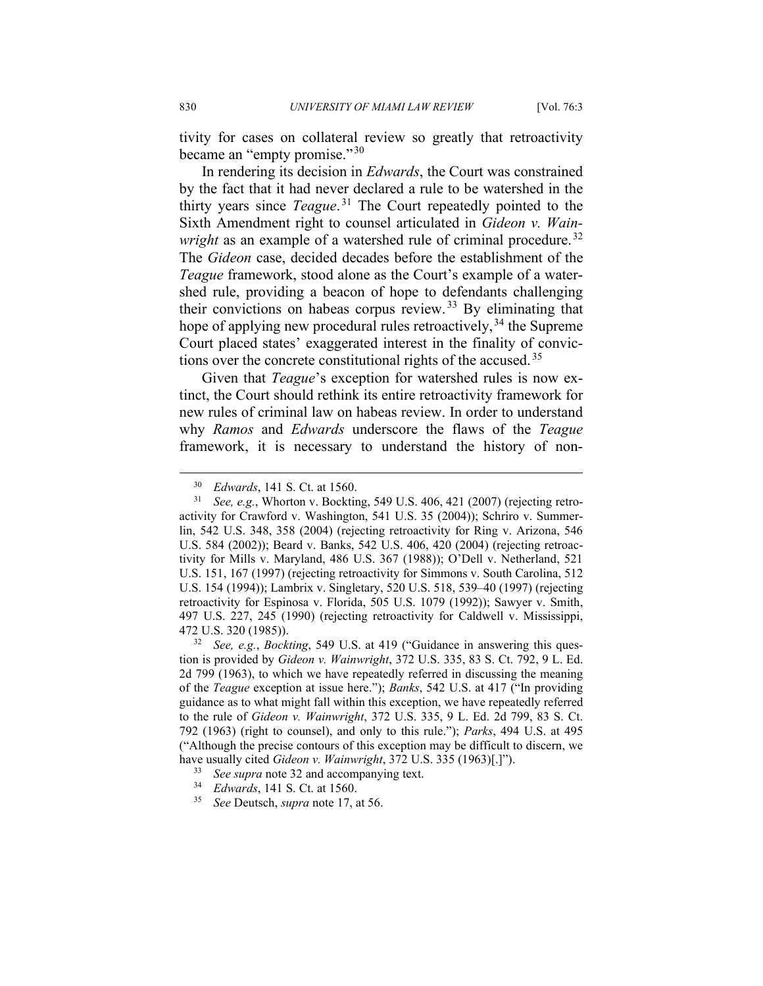tivity for cases on collateral review so greatly that retroactivity became an "empty promise." [30](#page-6-0)

In rendering its decision in *Edwards*, the Court was constrained by the fact that it had never declared a rule to be watershed in the thirty years since *Teague*. [31](#page-6-1) The Court repeatedly pointed to the Sixth Amendment right to counsel articulated in *Gideon v. Wainwright* as an example of a watershed rule of criminal procedure.<sup>[32](#page-6-2)</sup> The *Gideon* case, decided decades before the establishment of the *Teague* framework, stood alone as the Court's example of a watershed rule, providing a beacon of hope to defendants challenging their convictions on habeas corpus review. [33](#page-6-3) By eliminating that hope of applying new procedural rules retroactively,  $34$  the Supreme Court placed states' exaggerated interest in the finality of convictions over the concrete constitutional rights of the accused. [35](#page-6-5)

Given that *Teague*'s exception for watershed rules is now extinct, the Court should rethink its entire retroactivity framework for new rules of criminal law on habeas review. In order to understand why *Ramos* and *Edwards* underscore the flaws of the *Teague* framework, it is necessary to understand the history of non-

<sup>&</sup>lt;sup>30</sup> *Edwards*, 141 S. Ct. at 1560.<br><sup>31</sup> *See e g* Whorton v Bocktin

<span id="page-6-1"></span><span id="page-6-0"></span>See, e.g., Whorton v. Bockting, 549 U.S. 406, 421 (2007) (rejecting retroactivity for Crawford v. Washington, 541 U.S. 35 (2004)); Schriro v. Summerlin, 542 U.S. 348, 358 (2004) (rejecting retroactivity for Ring v. Arizona, 546 U.S. 584 (2002)); Beard v. Banks, 542 U.S. 406, 420 (2004) (rejecting retroactivity for Mills v. Maryland, 486 U.S. 367 (1988)); O'Dell v. Netherland, 521 U.S. 151, 167 (1997) (rejecting retroactivity for Simmons v. South Carolina, 512 U.S. 154 (1994)); Lambrix v. Singletary, 520 U.S. 518, 539–40 (1997) (rejecting retroactivity for Espinosa v. Florida, 505 U.S. 1079 (1992)); Sawyer v. Smith, 497 U.S. 227, 245 (1990) (rejecting retroactivity for Caldwell v. Mississippi, 472 U.S. 320 (1985)).

<span id="page-6-2"></span><sup>32</sup> *See, e.g.*, *Bockting*, 549 U.S. at 419 ("Guidance in answering this question is provided by *Gideon v. Wainwright*, 372 U.S. 335, 83 S. Ct. 792, 9 L. Ed. 2d 799 (1963), to which we have repeatedly referred in discussing the meaning of the *Teague* exception at issue here."); *Banks*, 542 U.S. at 417 ("In providing guidance as to what might fall within this exception, we have repeatedly referred to the rule of *Gideon v. Wainwright*, 372 U.S. 335, 9 L. Ed. 2d 799, 83 S. Ct. 792 (1963) (right to counsel), and only to this rule."); *Parks*, 494 U.S. at 495 ("Although the precise contours of this exception may be difficult to discern, we have usually cited *Gideon v. Wainwright*, 372 U.S. 335 (1963)[.]").

<span id="page-6-4"></span><span id="page-6-3"></span><sup>33</sup> *See supra* note 32 and accompanying text.

<span id="page-6-5"></span><sup>34</sup> *Edwards*, 141 S. Ct. at 1560.

<sup>35</sup> *See* Deutsch, *supra* note 17, at 56.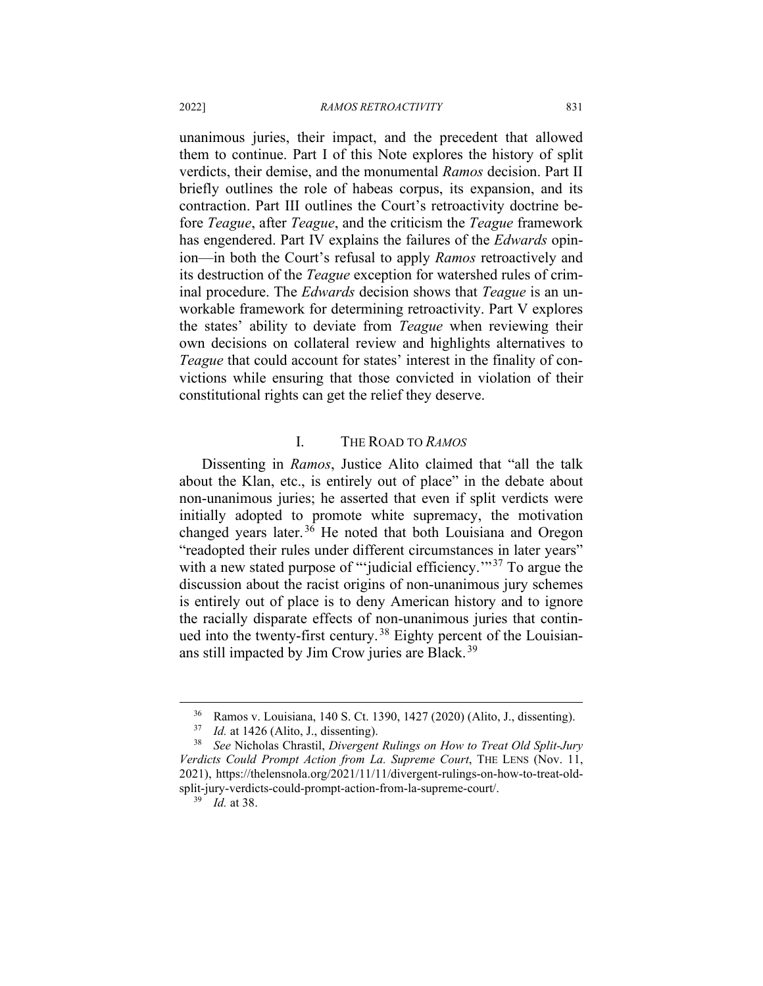unanimous juries, their impact, and the precedent that allowed them to continue. Part I of this Note explores the history of split verdicts, their demise, and the monumental *Ramos* decision. Part II briefly outlines the role of habeas corpus, its expansion, and its contraction. Part III outlines the Court's retroactivity doctrine before *Teague*, after *Teague*, and the criticism the *Teague* framework has engendered. Part IV explains the failures of the *Edwards* opinion—in both the Court's refusal to apply *Ramos* retroactively and its destruction of the *Teague* exception for watershed rules of criminal procedure. The *Edwards* decision shows that *Teague* is an unworkable framework for determining retroactivity. Part V explores the states' ability to deviate from *Teague* when reviewing their own decisions on collateral review and highlights alternatives to *Teague* that could account for states' interest in the finality of convictions while ensuring that those convicted in violation of their constitutional rights can get the relief they deserve.

#### I. THE ROAD TO *RAMOS*

Dissenting in *Ramos*, Justice Alito claimed that "all the talk about the Klan, etc., is entirely out of place" in the debate about non-unanimous juries; he asserted that even if split verdicts were initially adopted to promote white supremacy, the motivation changed years later. [36](#page-7-0) He noted that both Louisiana and Oregon "readopted their rules under different circumstances in later years" with a new stated purpose of ""judicial efficiency."<sup>[37](#page-7-1)</sup> To argue the discussion about the racist origins of non-unanimous jury schemes is entirely out of place is to deny American history and to ignore the racially disparate effects of non-unanimous juries that contin-ued into the twenty-first century.<sup>[38](#page-7-2)</sup> Eighty percent of the Louisian-ans still impacted by Jim Crow juries are Black.<sup>[39](#page-7-3)</sup>

<sup>36</sup> Ramos v. Louisiana, 140 S. Ct. 1390, 1427 (2020) (Alito, J., dissenting).

<sup>37</sup> *Id.* at 1426 (Alito, J., dissenting).

<span id="page-7-3"></span><span id="page-7-2"></span><span id="page-7-1"></span><span id="page-7-0"></span><sup>38</sup> *See* Nicholas Chrastil, *Divergent Rulings on How to Treat Old Split-Jury Verdicts Could Prompt Action from La. Supreme Court*, THE LENS (Nov. 11, 2021), https://thelensnola.org/2021/11/11/divergent-rulings-on-how-to-treat-oldsplit-jury-verdicts-could-prompt-action-from-la-supreme-court/.

<sup>39</sup> *Id.* at 38.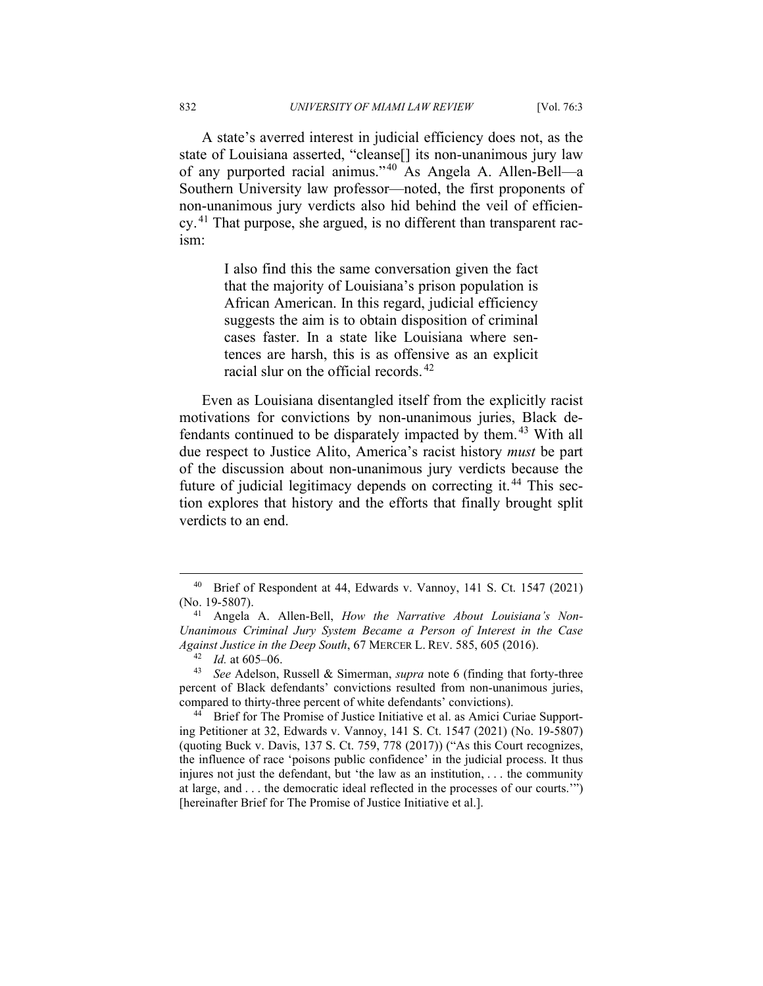A state's averred interest in judicial efficiency does not, as the state of Louisiana asserted, "cleanse[] its non-unanimous jury law of any purported racial animus." [40](#page-8-0) As Angela A. Allen-Bell—a Southern University law professor—noted, the first proponents of non-unanimous jury verdicts also hid behind the veil of efficiency. [41](#page-8-1) That purpose, she argued, is no different than transparent racism:

> I also find this the same conversation given the fact that the majority of Louisiana's prison population is African American. In this regard, judicial efficiency suggests the aim is to obtain disposition of criminal cases faster. In a state like Louisiana where sentences are harsh, this is as offensive as an explicit racial slur on the official records. [42](#page-8-2)

Even as Louisiana disentangled itself from the explicitly racist motivations for convictions by non-unanimous juries, Black defendants continued to be disparately impacted by them. [43](#page-8-3) With all due respect to Justice Alito, America's racist history *must* be part of the discussion about non-unanimous jury verdicts because the future of judicial legitimacy depends on correcting it.<sup>[44](#page-8-4)</sup> This section explores that history and the efforts that finally brought split verdicts to an end.

<span id="page-8-0"></span><sup>40</sup> Brief of Respondent at 44, Edwards v. Vannoy, 141 S. Ct. 1547 (2021) (No. 19-5807).

<span id="page-8-1"></span><sup>41</sup> Angela A. Allen-Bell, *How the Narrative About Louisiana's Non-Unanimous Criminal Jury System Became a Person of Interest in the Case Against Justice in the Deep South*, 67 MERCER L. REV. 585, 605 (2016).

<sup>42</sup> *Id.* at 605–06.

<span id="page-8-3"></span><span id="page-8-2"></span><sup>43</sup> *See* Adelson, Russell & Simerman, *supra* note 6 (finding that forty-three percent of Black defendants' convictions resulted from non-unanimous juries, compared to thirty-three percent of white defendants' convictions).

<span id="page-8-4"></span><sup>&</sup>lt;sup>44</sup> Brief for The Promise of Justice Initiative et al. as Amici Curiae Supporting Petitioner at 32, Edwards v. Vannoy, 141 S. Ct. 1547 (2021) (No. 19-5807) (quoting Buck v. Davis, 137 S. Ct. 759, 778 (2017)) ("As this Court recognizes, the influence of race 'poisons public confidence' in the judicial process. It thus injures not just the defendant, but 'the law as an institution, . . . the community at large, and . . . the democratic ideal reflected in the processes of our courts.'") [hereinafter Brief for The Promise of Justice Initiative et al.].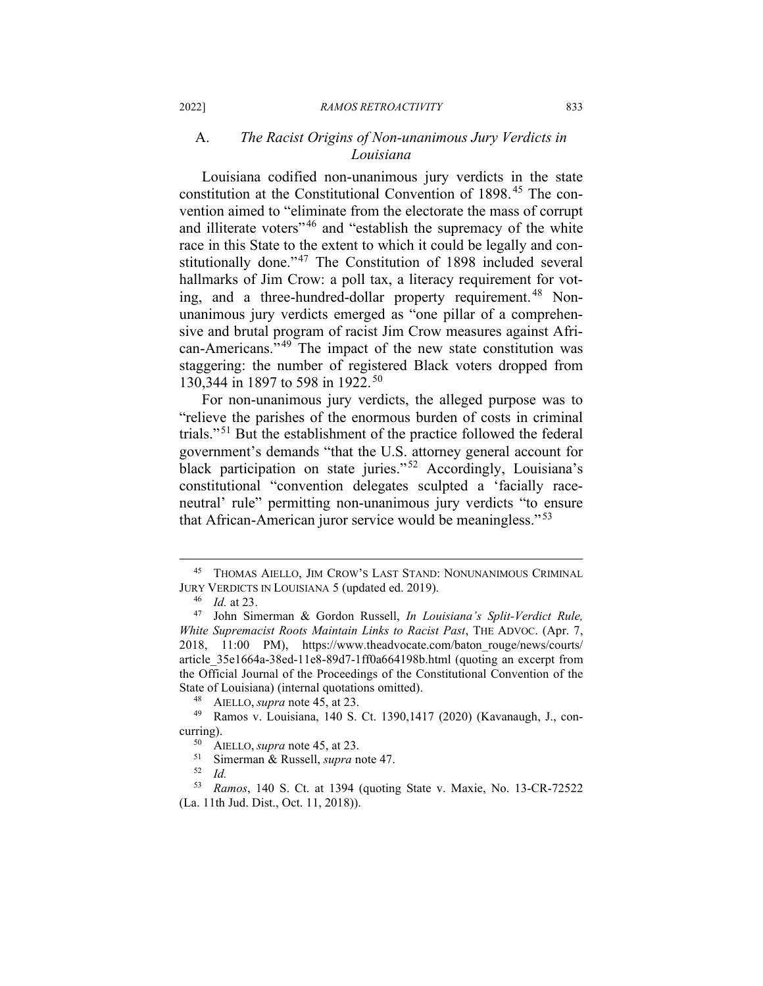# A. *The Racist Origins of Non-unanimous Jury Verdicts in Louisiana*

Louisiana codified non-unanimous jury verdicts in the state constitution at the Constitutional Convention of 1898. [45](#page-9-0) The convention aimed to "eliminate from the electorate the mass of corrupt and illiterate voters"<sup>[46](#page-9-1)</sup> and "establish the supremacy of the white race in this State to the extent to which it could be legally and constitutionally done."[47](#page-9-2) The Constitution of 1898 included several hallmarks of Jim Crow: a poll tax, a literacy requirement for vot-ing, and a three-hundred-dollar property requirement.<sup>[48](#page-9-3)</sup> Nonunanimous jury verdicts emerged as "one pillar of a comprehensive and brutal program of racist Jim Crow measures against Afri-can-Americans."<sup>[49](#page-9-4)</sup> The impact of the new state constitution was staggering: the number of registered Black voters dropped from 130,344 in 1897 to 598 in 1922.<sup>[50](#page-9-5)</sup>

For non-unanimous jury verdicts, the alleged purpose was to "relieve the parishes of the enormous burden of costs in criminal trials." [51](#page-9-6) But the establishment of the practice followed the federal government's demands "that the U.S. attorney general account for black participation on state juries."<sup>[52](#page-9-7)</sup> Accordingly, Louisiana's constitutional "convention delegates sculpted a 'facially raceneutral' rule" permitting non-unanimous jury verdicts "to ensure that African-American juror service would be meaningless."<sup>[53](#page-9-8)</sup>

<span id="page-9-0"></span><sup>45</sup> THOMAS AIELLO, JIM CROW'S LAST STAND: NONUNANIMOUS CRIMINAL JURY VERDICTS IN LOUISIANA 5 (updated ed. 2019).

<sup>46</sup> *Id.* at 23.

<span id="page-9-2"></span><span id="page-9-1"></span><sup>47</sup> John Simerman & Gordon Russell, *In Louisiana's Split-Verdict Rule, White Supremacist Roots Maintain Links to Racist Past*, THE ADVOC. (Apr. 7, 2018, 11:00 PM), https://www.theadvocate.com/baton\_rouge/news/courts/ article\_35e1664a-38ed-11e8-89d7-1ff0a664198b.html (quoting an excerpt from the Official Journal of the Proceedings of the Constitutional Convention of the State of Louisiana) (internal quotations omitted).

<sup>48</sup> AIELLO, *supra* note 45, at 23.

<span id="page-9-5"></span><span id="page-9-4"></span><span id="page-9-3"></span><sup>49</sup> Ramos v. Louisiana, 140 S. Ct. 1390,1417 (2020) (Kavanaugh, J., concurring).

 $^{50}$  AIELLO, *supra* note 45, at 23.<br> $^{51}$  Simerman & Pussell, *supra* n

 $^{51}$  Simerman & Russell, *supra* note 47.

<sup>52</sup> *Id.*

<span id="page-9-8"></span><span id="page-9-7"></span><span id="page-9-6"></span><sup>53</sup> *Ramos*, 140 S. Ct. at 1394 (quoting State v. Maxie, No. 13-CR-72522 (La. 11th Jud. Dist., Oct. 11, 2018)).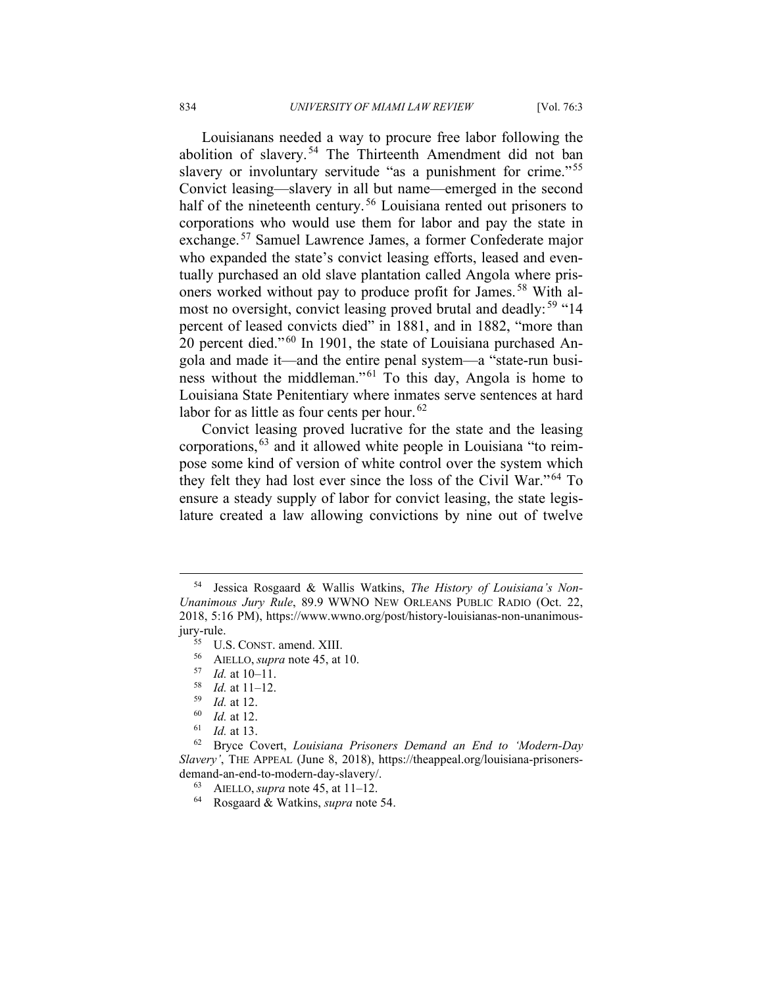Louisianans needed a way to procure free labor following the abolition of slavery.<sup>[54](#page-10-0)</sup> The Thirteenth Amendment did not ban slavery or involuntary servitude "as a punishment for crime."<sup>[55](#page-10-1)</sup> Convict leasing—slavery in all but name—emerged in the second half of the nineteenth century.<sup>[56](#page-10-2)</sup> Louisiana rented out prisoners to corporations who would use them for labor and pay the state in exchange. [57](#page-10-3) Samuel Lawrence James, a former Confederate major who expanded the state's convict leasing efforts, leased and eventually purchased an old slave plantation called Angola where prisoners worked without pay to produce profit for James. [58](#page-10-4) With al-most no oversight, convict leasing proved brutal and deadly:<sup>[59](#page-10-5)</sup> "14 percent of leased convicts died" in 1881, and in 1882, "more than 20 percent died."<sup>[60](#page-10-6)</sup> In 1901, the state of Louisiana purchased Angola and made it—and the entire penal system—a "state-run busi-ness without the middleman."<sup>[61](#page-10-7)</sup> To this day, Angola is home to Louisiana State Penitentiary where inmates serve sentences at hard labor for as little as four cents per hour.<sup>[62](#page-10-8)</sup>

Convict leasing proved lucrative for the state and the leasing corporations, [63](#page-10-9) and it allowed white people in Louisiana "to reimpose some kind of version of white control over the system which they felt they had lost ever since the loss of the Civil War."<sup>[64](#page-10-10)</sup> To ensure a steady supply of labor for convict leasing, the state legislature created a law allowing convictions by nine out of twelve

<span id="page-10-2"></span><span id="page-10-1"></span><span id="page-10-0"></span><sup>54</sup> Jessica Rosgaard & Wallis Watkins, *The History of Louisiana's Non-Unanimous Jury Rule*, 89.9 WWNO NEW ORLEANS PUBLIC RADIO (Oct. 22, 2018, 5:16 PM), https://www.wwno.org/post/history-louisianas-non-unanimousjury-rule.

<sup>55</sup> U.S. CONST. amend. XIII.

<sup>56</sup> AIELLO, *supra* note 45, at 10.

 $\frac{57}{58}$  *Id.* at 10–11.

*Id.* at 11–12.

 $\frac{59}{60}$  *Id.* at 12.

*Id.* at 12.

<sup>61</sup> *Id.* at 13.

<span id="page-10-10"></span><span id="page-10-9"></span><span id="page-10-8"></span><span id="page-10-7"></span><span id="page-10-6"></span><span id="page-10-5"></span><span id="page-10-4"></span><span id="page-10-3"></span><sup>62</sup> Bryce Covert, *Louisiana Prisoners Demand an End to 'Modern-Day Slavery'*, THE APPEAL (June 8, 2018), https://theappeal.org/louisiana-prisonersdemand-an-end-to-modern-day-slavery/.

<sup>63</sup> AIELLO, *supra* note 45, at 11–12.

<sup>64</sup> Rosgaard & Watkins, *supra* note 54.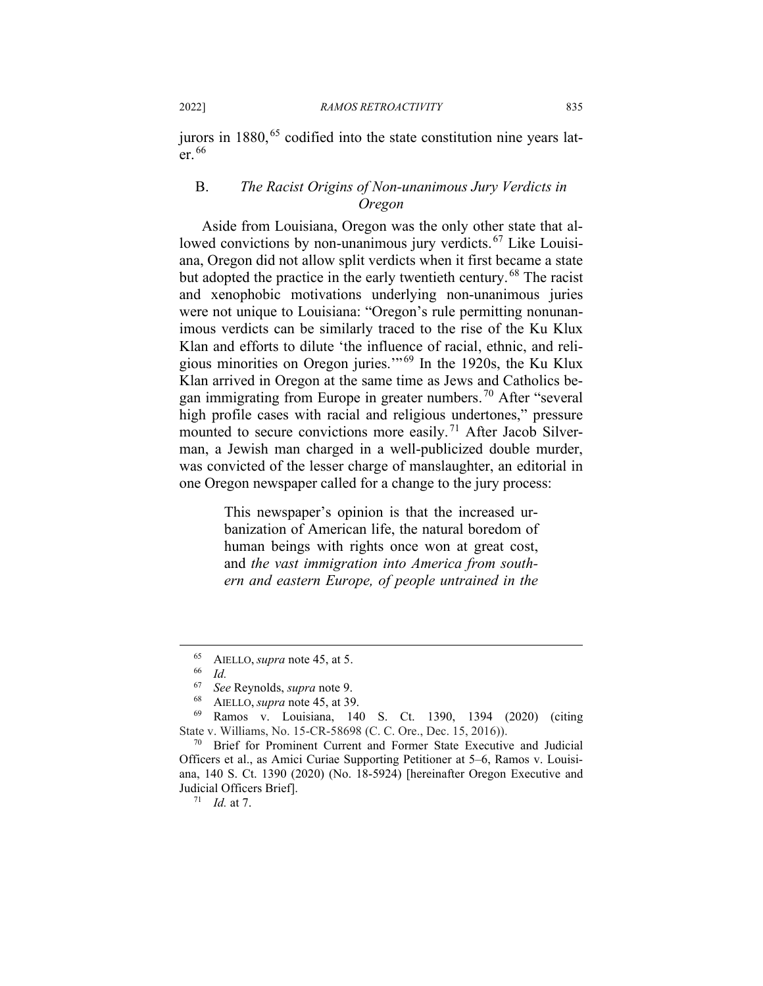2022] *RAMOS RETROACTIVITY* 835

jurors in  $1880$ ,  $65$  codified into the state constitution nine years later. [66](#page-11-1)

## B. *The Racist Origins of Non-unanimous Jury Verdicts in Oregon*

Aside from Louisiana, Oregon was the only other state that al-lowed convictions by non-unanimous jury verdicts.<sup>[67](#page-11-2)</sup> Like Louisiana, Oregon did not allow split verdicts when it first became a state but adopted the practice in the early twentieth century. [68](#page-11-3) The racist and xenophobic motivations underlying non-unanimous juries were not unique to Louisiana: "Oregon's rule permitting nonunanimous verdicts can be similarly traced to the rise of the Ku Klux Klan and efforts to dilute 'the influence of racial, ethnic, and religious minorities on Oregon juries.'" [69](#page-11-4) In the 1920s, the Ku Klux Klan arrived in Oregon at the same time as Jews and Catholics be-gan immigrating from Europe in greater numbers.<sup>[70](#page-11-5)</sup> After "several" high profile cases with racial and religious undertones," pressure mounted to secure convictions more easily. [71](#page-11-6) After Jacob Silverman, a Jewish man charged in a well-publicized double murder, was convicted of the lesser charge of manslaughter, an editorial in one Oregon newspaper called for a change to the jury process:

> This newspaper's opinion is that the increased urbanization of American life, the natural boredom of human beings with rights once won at great cost, and *the vast immigration into America from southern and eastern Europe, of people untrained in the*

 $^{65}$  AIELLO, *supra* note 45, at 5.

 $\frac{66}{67}$  *Id.* 

<sup>67</sup> *See* Reynolds, *supra* note 9.

AIELLO, *supra* note 45, at 39.

<span id="page-11-4"></span><span id="page-11-3"></span><span id="page-11-2"></span><span id="page-11-1"></span><span id="page-11-0"></span><sup>69</sup> Ramos v. Louisiana, 140 S. Ct. 1390, 1394 (2020) (citing State v. Williams, No. 15-CR-58698 (C. C. Ore., Dec. 15, 2016)).

<span id="page-11-6"></span><span id="page-11-5"></span><sup>70</sup> Brief for Prominent Current and Former State Executive and Judicial Officers et al., as Amici Curiae Supporting Petitioner at 5–6, Ramos v. Louisiana, 140 S. Ct. 1390 (2020) (No. 18-5924) [hereinafter Oregon Executive and Judicial Officers Brief].

 $71$  *Id.* at 7.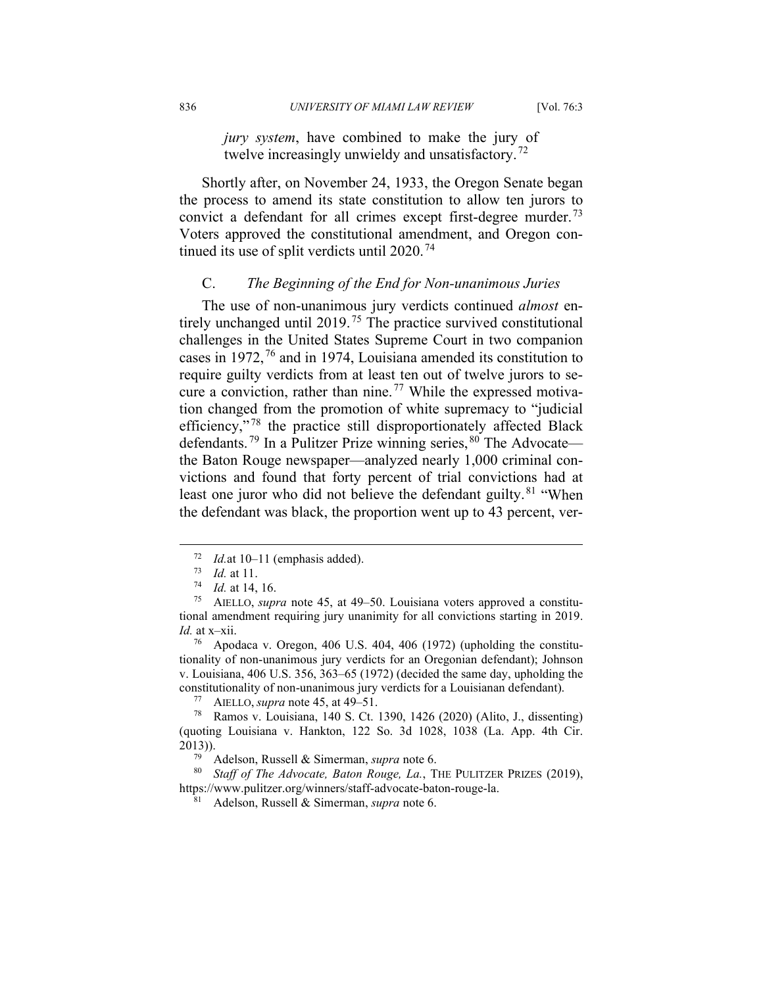*jury system*, have combined to make the jury of twelve increasingly unwieldy and unsatisfactory.<sup>[72](#page-12-0)</sup>

Shortly after, on November 24, 1933, the Oregon Senate began the process to amend its state constitution to allow ten jurors to convict a defendant for all crimes except first-degree murder.<sup>[73](#page-12-1)</sup> Voters approved the constitutional amendment, and Oregon continued its use of split verdicts until  $2020$ .<sup>[74](#page-12-2)</sup>

#### C. *The Beginning of the End for Non-unanimous Juries*

The use of non-unanimous jury verdicts continued *almost* en-tirely unchanged until 2019.<sup>[75](#page-12-3)</sup> The practice survived constitutional challenges in the United States Supreme Court in two companion cases in 1972, [76](#page-12-4) and in 1974, Louisiana amended its constitution to require guilty verdicts from at least ten out of twelve jurors to se-cure a conviction, rather than nine.<sup>[77](#page-12-5)</sup> While the expressed motivation changed from the promotion of white supremacy to "judicial efficiency,"<sup>[78](#page-12-6)</sup> the practice still disproportionately affected Black defendants.<sup>[79](#page-12-7)</sup> In a Pulitzer Prize winning series, <sup>[80](#page-12-8)</sup> The Advocate the Baton Rouge newspaper—analyzed nearly 1,000 criminal convictions and found that forty percent of trial convictions had at least one juror who did not believe the defendant guilty.<sup>[81](#page-12-9)</sup> "When the defendant was black, the proportion went up to 43 percent, ver-

<sup>77</sup> AIELLO, *supra* note 45, at 49–51.

<sup>79</sup> Adelson, Russell & Simerman, *supra* note 6.

<span id="page-12-9"></span><span id="page-12-8"></span><span id="page-12-7"></span><sup>80</sup> *Staff of The Advocate, Baton Rouge, La.*, THE PULITZER PRIZES (2019), https://www.pulitzer.org/winners/staff-advocate-baton-rouge-la.

<sup>81</sup> Adelson, Russell & Simerman, *supra* note 6.

 $^{72}$  *Id.* at 10–11 (emphasis added).<br> $^{73}$  *Id.* at 11

 $\frac{73}{74}$  *Id.* at 11.

<sup>74</sup> *Id.* at 14, 16.

<span id="page-12-3"></span><span id="page-12-2"></span><span id="page-12-1"></span><span id="page-12-0"></span><sup>75</sup> AIELLO, *supra* note 45, at 49–50. Louisiana voters approved a constitutional amendment requiring jury unanimity for all convictions starting in 2019. *Id.* at x–xii.

<span id="page-12-4"></span><sup>76</sup> Apodaca v. Oregon, 406 U.S. 404, 406 (1972) (upholding the constitutionality of non-unanimous jury verdicts for an Oregonian defendant); Johnson v. Louisiana, 406 U.S. 356, 363–65 (1972) (decided the same day, upholding the constitutionality of non-unanimous jury verdicts for a Louisianan defendant).

<span id="page-12-6"></span><span id="page-12-5"></span><sup>78</sup> Ramos v. Louisiana, 140 S. Ct. 1390, 1426 (2020) (Alito, J., dissenting) (quoting Louisiana v. Hankton, 122 So. 3d 1028, 1038 (La. App. 4th Cir. 2013)).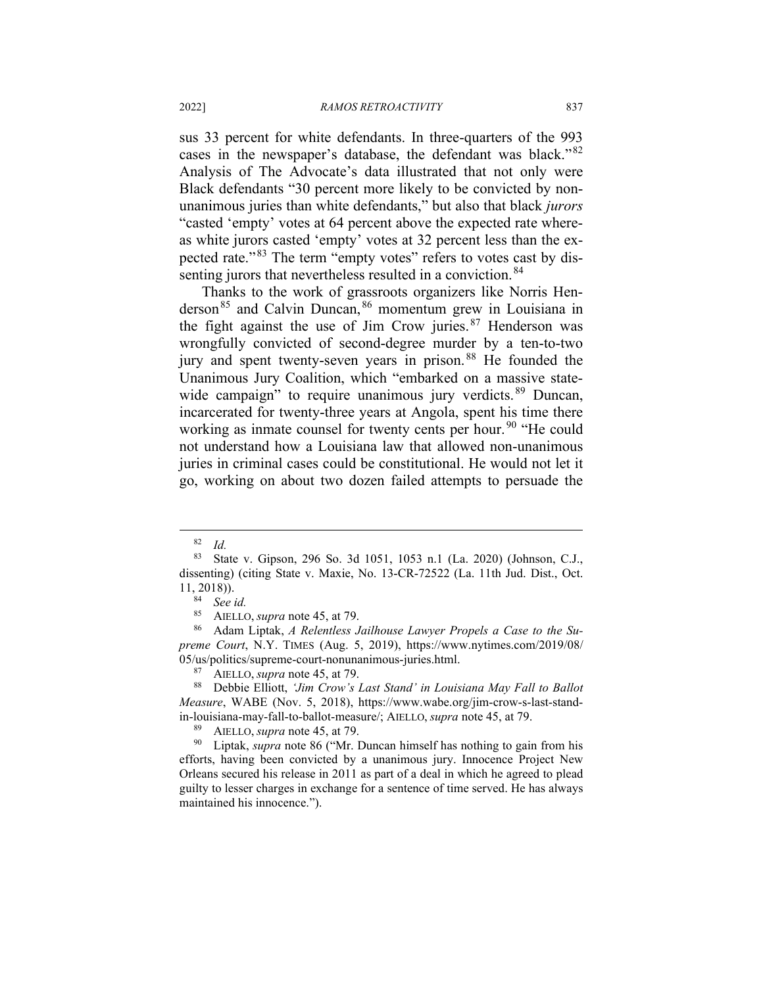sus 33 percent for white defendants. In three-quarters of the 993 cases in the newspaper's database, the defendant was black."[82](#page-13-0) Analysis of The Advocate's data illustrated that not only were Black defendants "30 percent more likely to be convicted by nonunanimous juries than white defendants," but also that black *jurors* "casted 'empty' votes at 64 percent above the expected rate whereas white jurors casted 'empty' votes at 32 percent less than the ex-pected rate."<sup>[83](#page-13-1)</sup> The term "empty votes" refers to votes cast by dis-senting jurors that nevertheless resulted in a conviction.<sup>[84](#page-13-2)</sup>

Thanks to the work of grassroots organizers like Norris Henderson[85](#page-13-3) and Calvin Duncan, [86](#page-13-4) momentum grew in Louisiana in the fight against the use of Jim Crow juries. [87](#page-13-5) Henderson was wrongfully convicted of second-degree murder by a ten-to-two jury and spent twenty-seven years in prison.<sup>[88](#page-13-6)</sup> He founded the Unanimous Jury Coalition, which "embarked on a massive state-wide campaign" to require unanimous jury verdicts.<sup>[89](#page-13-7)</sup> Duncan, incarcerated for twenty-three years at Angola, spent his time there working as inmate counsel for twenty cents per hour.<sup>[90](#page-13-8)</sup> "He could not understand how a Louisiana law that allowed non-unanimous juries in criminal cases could be constitutional. He would not let it go, working on about two dozen failed attempts to persuade the

<span id="page-13-4"></span><span id="page-13-3"></span><span id="page-13-2"></span><sup>86</sup> Adam Liptak, *A Relentless Jailhouse Lawyer Propels a Case to the Supreme Court*, N.Y. TIMES (Aug. 5, 2019), https://www.nytimes.com/2019/08/ 05/us/politics/supreme-court-nonunanimous-juries.html.

<span id="page-13-6"></span><span id="page-13-5"></span><sup>88</sup> Debbie Elliott, *'Jim Crow's Last Stand' in Louisiana May Fall to Ballot Measure*, WABE (Nov. 5, 2018), https://www.wabe.org/jim-crow-s-last-standin-louisiana-may-fall-to-ballot-measure/; AIELLO, *supra* note 45, at 79.

<sup>89</sup> AIELLO, *supra* note 45, at 79.<br><sup>90</sup> Lintak *supra* note 86 ("Mr I

<span id="page-13-8"></span><span id="page-13-7"></span>Liptak, *supra* note 86 ("Mr. Duncan himself has nothing to gain from his efforts, having been convicted by a unanimous jury. Innocence Project New Orleans secured his release in 2011 as part of a deal in which he agreed to plead guilty to lesser charges in exchange for a sentence of time served. He has always maintained his innocence.").

<sup>82</sup> *Id.*

<span id="page-13-1"></span><span id="page-13-0"></span><sup>83</sup> State v. Gipson, 296 So. 3d 1051, 1053 n.1 (La. 2020) (Johnson, C.J., dissenting) (citing State v. Maxie, No. 13-CR-72522 (La. 11th Jud. Dist., Oct. 11, 2018)).

<sup>84</sup> *See id.*

<sup>&</sup>lt;sup>85</sup> AIELLO, *supra* note 45, at 79.<br><sup>86</sup> Adam Lintak A Relentless 1

<sup>&</sup>lt;sup>87</sup> AIELLO, *supra* note 45, at 79.<br><sup>88</sup> Debbie Elliott. *'Jim Crow's*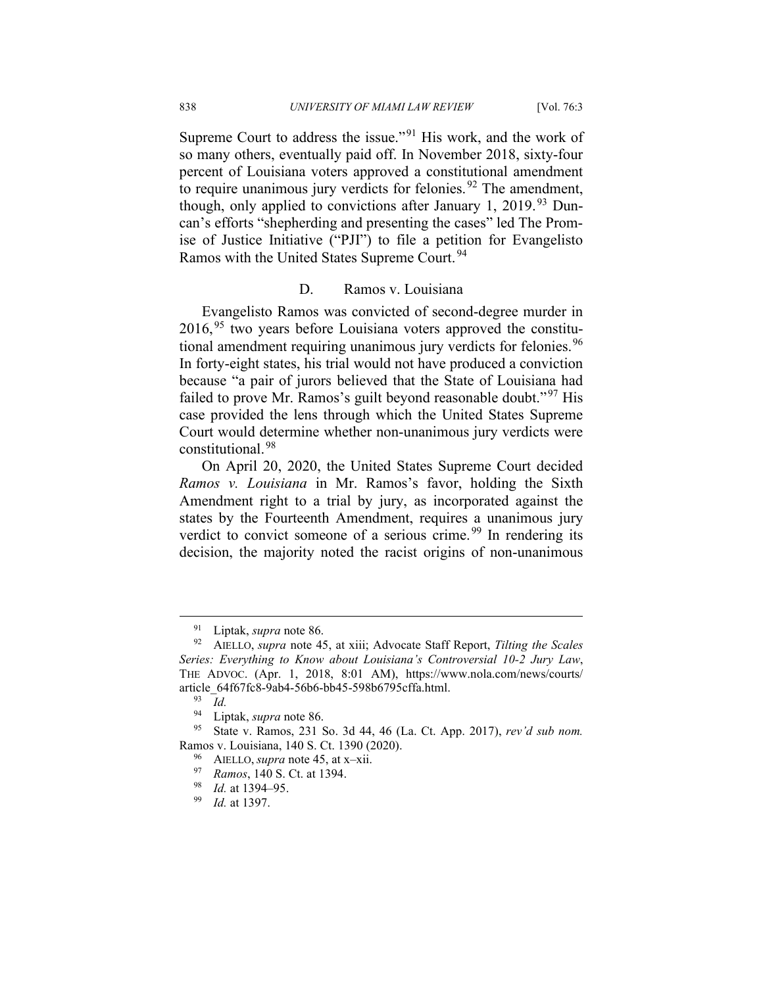Supreme Court to address the issue."<sup>[91](#page-14-0)</sup> His work, and the work of so many others, eventually paid off. In November 2018, sixty-four percent of Louisiana voters approved a constitutional amendment to require unanimous jury verdicts for felonies.  $92$  The amendment, though, only applied to convictions after January 1, 2019.<sup>[93](#page-14-2)</sup> Duncan's efforts "shepherding and presenting the cases" led The Promise of Justice Initiative ("PJI") to file a petition for Evangelisto Ramos with the United States Supreme Court. [94](#page-14-3)

#### D. Ramos v. Louisiana

Evangelisto Ramos was convicted of second-degree murder in 2016, [95](#page-14-4) two years before Louisiana voters approved the constitu-tional amendment requiring unanimous jury verdicts for felonies.<sup>[96](#page-14-5)</sup> In forty-eight states, his trial would not have produced a conviction because "a pair of jurors believed that the State of Louisiana had failed to prove Mr. Ramos's guilt beyond reasonable doubt."<sup>[97](#page-14-6)</sup> His case provided the lens through which the United States Supreme Court would determine whether non-unanimous jury verdicts were constitutional.[98](#page-14-7)

On April 20, 2020, the United States Supreme Court decided *Ramos v. Louisiana* in Mr. Ramos's favor, holding the Sixth Amendment right to a trial by jury, as incorporated against the states by the Fourteenth Amendment, requires a unanimous jury verdict to convict someone of a serious crime.<sup>[99](#page-14-8)</sup> In rendering its decision, the majority noted the racist origins of non-unanimous

<sup>91</sup> Liptak, *supra* note 86.

<span id="page-14-1"></span><span id="page-14-0"></span><sup>92</sup> AIELLO, *supra* note 45, at xiii; Advocate Staff Report, *Tilting the Scales Series: Everything to Know about Louisiana's Controversial 10-2 Jury Law*, THE ADVOC. (Apr. 1, 2018, 8:01 AM), https://www.nola.com/news/courts/ article\_64f67fc8-9ab4-56b6-bb45-598b6795cffa.html.

 $\frac{93}{94}$  *Id.* 

Liptak, *supra* note 86.

<span id="page-14-7"></span><span id="page-14-6"></span><span id="page-14-5"></span><span id="page-14-4"></span><span id="page-14-3"></span><span id="page-14-2"></span><sup>95</sup> State v. Ramos, 231 So. 3d 44, 46 (La. Ct. App. 2017), *rev'd sub nom.* Ramos v. Louisiana, 140 S. Ct. 1390 (2020).

<sup>96</sup> AIELLO, *supra* note 45, at x–xii.

<sup>97</sup> *Ramos*, 140 S. Ct. at 1394.

<span id="page-14-8"></span><sup>&</sup>lt;sup>98</sup> *Id.* at 1394–95.

*Id.* at 1397.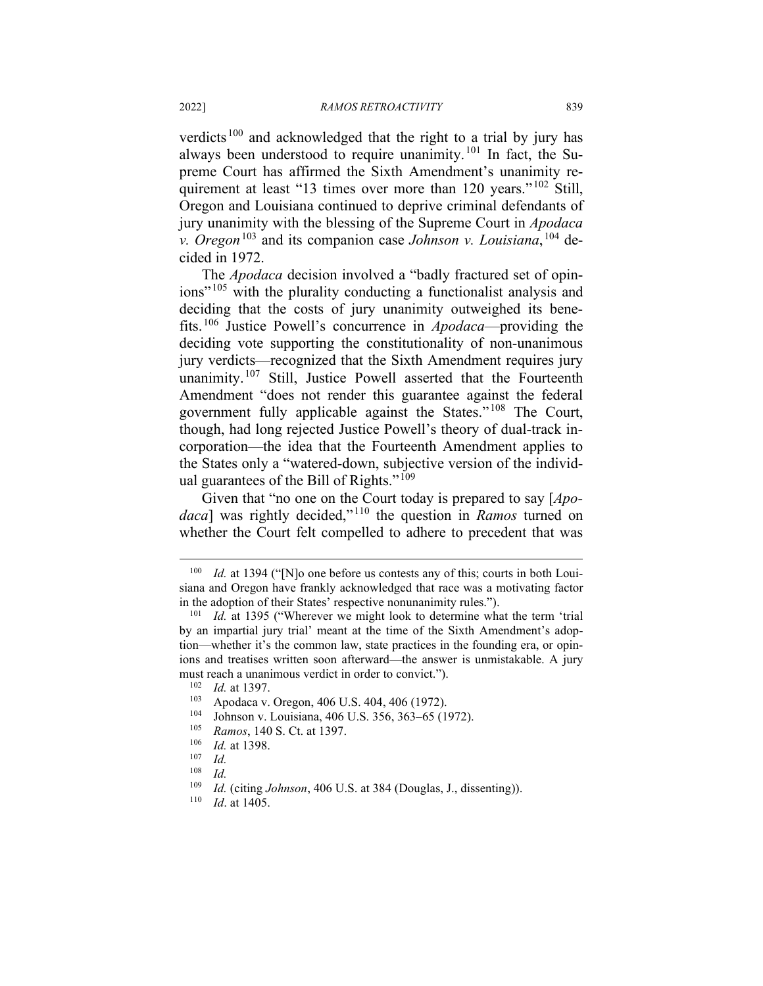verdicts [100](#page-15-0) and acknowledged that the right to a trial by jury has always been understood to require unanimity.[101](#page-15-1) In fact, the Supreme Court has affirmed the Sixth Amendment's unanimity re-quirement at least "13 times over more than 120 years."<sup>[102](#page-15-2)</sup> Still, Oregon and Louisiana continued to deprive criminal defendants of jury unanimity with the blessing of the Supreme Court in *Apodaca v. Oregon*[103](#page-15-3) and its companion case *Johnson v. Louisiana*, [104](#page-15-4) decided in 1972.

The *Apodaca* decision involved a "badly fractured set of opin-ions<sup>" [105](#page-15-5)</sup> with the plurality conducting a functionalist analysis and deciding that the costs of jury unanimity outweighed its benefits.[106](#page-15-6) Justice Powell's concurrence in *Apodaca*—providing the deciding vote supporting the constitutionality of non-unanimous jury verdicts—recognized that the Sixth Amendment requires jury unanimity.<sup>[107](#page-15-7)</sup> Still, Justice Powell asserted that the Fourteenth Amendment "does not render this guarantee against the federal government fully applicable against the States." [108](#page-15-8) The Court, though, had long rejected Justice Powell's theory of dual-track incorporation—the idea that the Fourteenth Amendment applies to the States only a "watered-down, subjective version of the individ-ual guarantees of the Bill of Rights."<sup>[109](#page-15-9)</sup>

Given that "no one on the Court today is prepared to say [*Apodaca*] was rightly decided," [110](#page-15-10) the question in *Ramos* turned on whether the Court felt compelled to adhere to precedent that was

<span id="page-15-0"></span><sup>&</sup>lt;sup>100</sup> *Id.* at 1394 ("[N]o one before us contests any of this; courts in both Louisiana and Oregon have frankly acknowledged that race was a motivating factor in the adoption of their States' respective nonunanimity rules.").

<span id="page-15-1"></span><sup>&</sup>lt;sup>101</sup> *Id.* at 1395 ("Wherever we might look to determine what the term 'trial by an impartial jury trial' meant at the time of the Sixth Amendment's adoption—whether it's the common law, state practices in the founding era, or opinions and treatises written soon afterward—the answer is unmistakable. A jury must reach a unanimous verdict in order to convict.").

 $\frac{102}{103}$  *Id.* at 1397.

<span id="page-15-4"></span><span id="page-15-3"></span><span id="page-15-2"></span><sup>&</sup>lt;sup>103</sup> Apodaca v. Oregon, 406 U.S. 404, 406 (1972).

<sup>104</sup> Johnson v. Louisiana, 406 U.S. 356, 363–65 (1972).

<span id="page-15-5"></span><sup>&</sup>lt;sup>105</sup> *Ramos*, 140 S. Ct. at 1397.<br><sup>106</sup> *Id.* at 1398

<span id="page-15-6"></span> $\frac{106}{107}$  *Id.* at 1398.

<span id="page-15-8"></span><span id="page-15-7"></span> $\frac{107}{108}$  *Id.* 

 $\frac{108}{109}$  *Id.* 

<span id="page-15-10"></span><span id="page-15-9"></span><sup>109</sup> *Id.* (citing *Johnson*, 406 U.S. at 384 (Douglas, J., dissenting)).

*Id.* at 1405.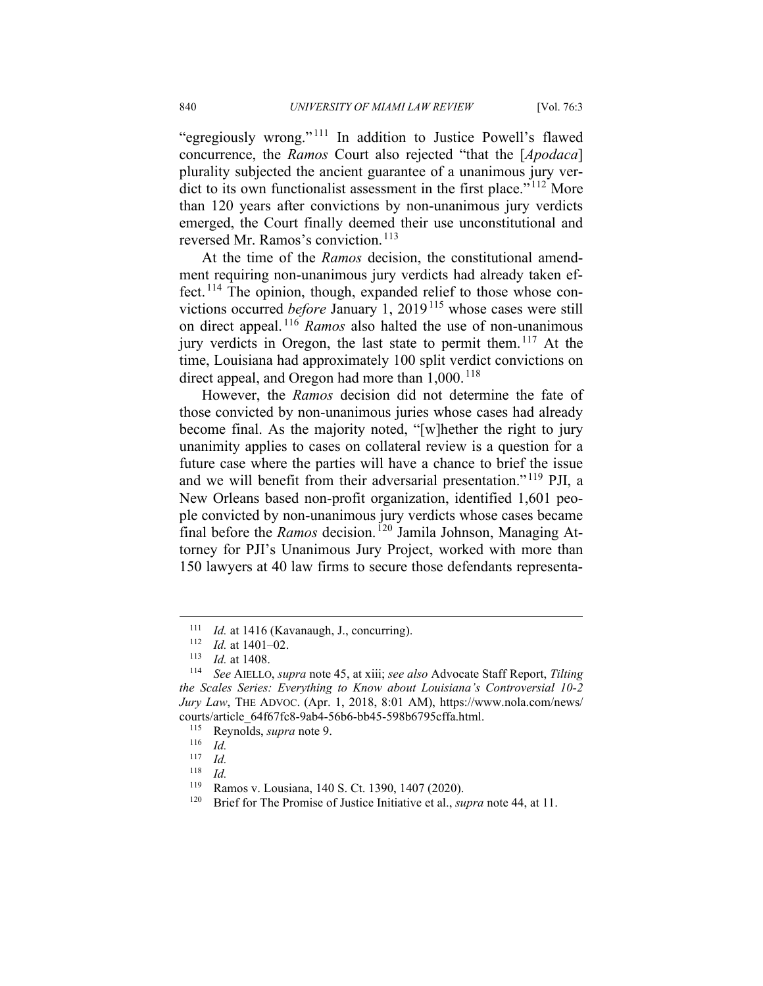"egregiously wrong." [111](#page-16-0) In addition to Justice Powell's flawed concurrence, the *Ramos* Court also rejected "that the [*Apodaca*] plurality subjected the ancient guarantee of a unanimous jury ver-dict to its own functionalist assessment in the first place."<sup>[112](#page-16-1)</sup> More than 120 years after convictions by non-unanimous jury verdicts emerged, the Court finally deemed their use unconstitutional and reversed Mr. Ramos's conviction.<sup>[113](#page-16-2)</sup>

At the time of the *Ramos* decision, the constitutional amendment requiring non-unanimous jury verdicts had already taken ef-fect.<sup>[114](#page-16-3)</sup> The opinion, though, expanded relief to those whose convictions occurred *before* January 1, 2019<sup>[115](#page-16-4)</sup> whose cases were still on direct appeal. [116](#page-16-5) *Ramos* also halted the use of non-unanimous jury verdicts in Oregon, the last state to permit them.<sup>[117](#page-16-6)</sup> At the time, Louisiana had approximately 100 split verdict convictions on direct appeal, and Oregon had more than  $1,000$ . <sup>[118](#page-16-7)</sup>

However, the *Ramos* decision did not determine the fate of those convicted by non-unanimous juries whose cases had already become final. As the majority noted, "[w]hether the right to jury unanimity applies to cases on collateral review is a question for a future case where the parties will have a chance to brief the issue and we will benefit from their adversarial presentation." [119](#page-16-8) PJI, a New Orleans based non-profit organization, identified 1,601 people convicted by non-unanimous jury verdicts whose cases became final before the *Ramos* decision. <sup>[120](#page-16-9)</sup> Jamila Johnson, Managing Attorney for PJI's Unanimous Jury Project, worked with more than 150 lawyers at 40 law firms to secure those defendants representa-

<sup>&</sup>lt;sup>111</sup> *Id.* at 1416 (Kavanaugh, J., concurring).<br><sup>112</sup> *Id.* at 1401–02

 $\frac{112}{113}$  *Id.* at 1401–02.

<sup>&</sup>lt;sup>113</sup> *Id.* at 1408.

<span id="page-16-4"></span><span id="page-16-3"></span><span id="page-16-2"></span><span id="page-16-1"></span><span id="page-16-0"></span><sup>114</sup> *See* AIELLO, *supra* note 45, at xiii; *see also* Advocate Staff Report, *Tilting the Scales Series: Everything to Know about Louisiana's Controversial 10-2 Jury Law*, THE ADVOC. (Apr. 1, 2018, 8:01 AM), https://www.nola.com/news/ courts/article\_64f67fc8-9ab4-56b6-bb45-598b6795cffa.html.

<span id="page-16-5"></span><sup>115</sup> Reynolds, *supra* note 9.

 $\frac{116}{117}$  *Id.* 

<span id="page-16-6"></span> $\frac{117}{118}$  *Id.* 

<span id="page-16-7"></span> $\frac{118}{119}$  *Id.* 

<span id="page-16-9"></span><span id="page-16-8"></span><sup>&</sup>lt;sup>119</sup> Ramos v. Lousiana, 140 S. Ct. 1390, 1407 (2020).<br><sup>120</sup> Priof for The Promise of Justice Initiative et al., 31

Brief for The Promise of Justice Initiative et al., *supra* note 44, at 11.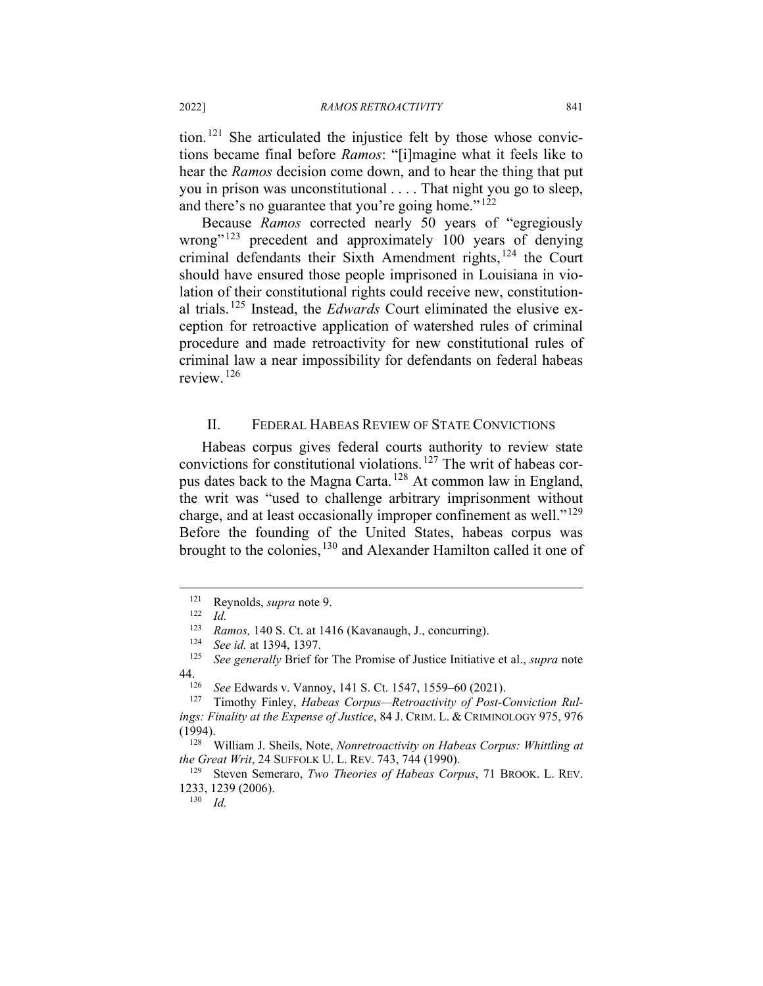tion.[121](#page-17-0) She articulated the injustice felt by those whose convictions became final before *Ramos*: "[i]magine what it feels like to hear the *Ramos* decision come down, and to hear the thing that put you in prison was unconstitutional . . . . That night you go to sleep, and there's no guarantee that you're going home." $122$ 

Because *Ramos* corrected nearly 50 years of "egregiously wrong"<sup>[123](#page-17-2)</sup> precedent and approximately 100 years of denying criminal defendants their Sixth Amendment rights,<sup>[124](#page-17-3)</sup> the Court should have ensured those people imprisoned in Louisiana in violation of their constitutional rights could receive new, constitutional trials.[125](#page-17-4) Instead, the *Edwards* Court eliminated the elusive exception for retroactive application of watershed rules of criminal procedure and made retroactivity for new constitutional rules of criminal law a near impossibility for defendants on federal habeas review. [126](#page-17-5)

#### II. FEDERAL HABEAS REVIEW OF STATE CONVICTIONS

Habeas corpus gives federal courts authority to review state convictions for constitutional violations.<sup>[127](#page-17-6)</sup> The writ of habeas corpus dates back to the Magna Carta. [128](#page-17-7) At common law in England, the writ was "used to challenge arbitrary imprisonment without charge, and at least occasionally improper confinement as well." $^{129}$  $^{129}$  $^{129}$ Before the founding of the United States, habeas corpus was brought to the colonies, <sup>[130](#page-17-9)</sup> and Alexander Hamilton called it one of

<sup>130</sup> *Id.*

<span id="page-17-1"></span><span id="page-17-0"></span><sup>121</sup> Reynolds, *supra* note 9.

 $\frac{122}{123}$  *Id.* 

<sup>123</sup> *Ramos,* 140 S. Ct. at 1416 (Kavanaugh, J., concurring).

<sup>124</sup> *See id.* at 1394, 1397.

<span id="page-17-4"></span><span id="page-17-3"></span><span id="page-17-2"></span>*See generally* Brief for The Promise of Justice Initiative et al., *supra* note 44.126 *See* Edwards v. Vannoy, 141 S. Ct. 1547, 1559–60 (2021).

<span id="page-17-6"></span><span id="page-17-5"></span><sup>&</sup>lt;sup>127</sup> Timothy Finley, *Habeas Corpus—Retroactivity of Post-Conviction Rulings: Finality at the Expense of Justice*, 84 J. CRIM. L. & CRIMINOLOGY 975, 976 (1994).

<span id="page-17-7"></span><sup>128</sup> William J. Sheils, Note, *Nonretroactivity on Habeas Corpus: Whittling at the Great Writ*, 24 SUFFOLK U. L. REV. 743, 744 (1990).

<span id="page-17-9"></span><span id="page-17-8"></span><sup>&</sup>lt;sup>129</sup> Steven Semeraro, *Two Theories of Habeas Corpus*, 71 BROOK. L. REV. 1233, 1239 (2006).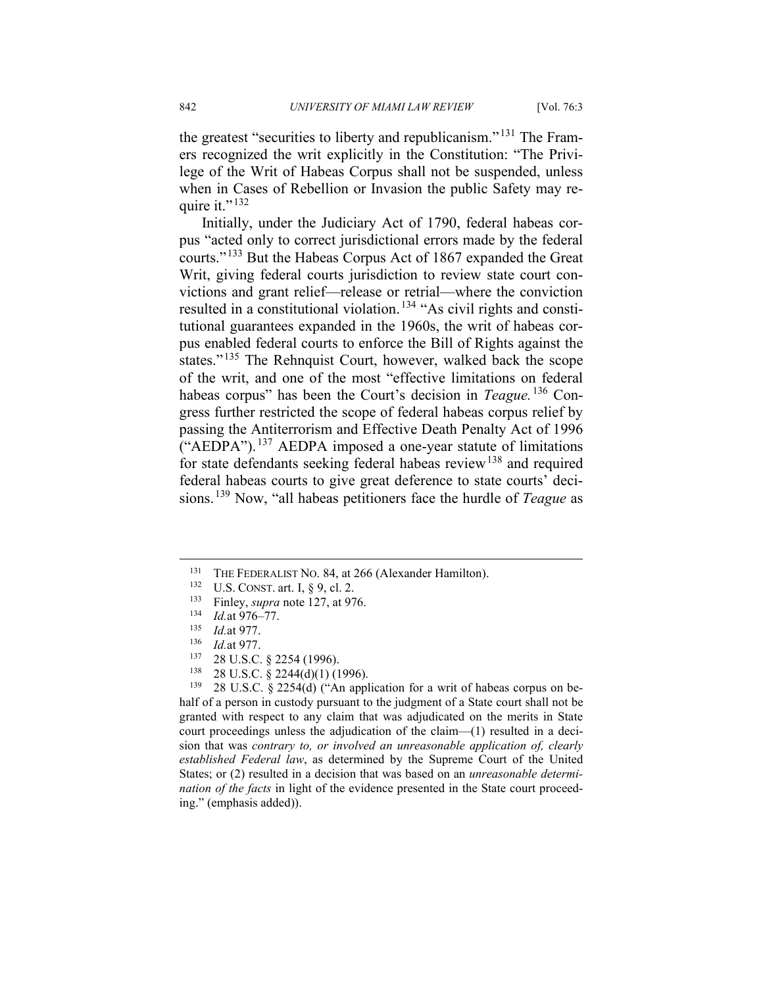the greatest "securities to liberty and republicanism." [131](#page-18-0) The Framers recognized the writ explicitly in the Constitution: "The Privilege of the Writ of Habeas Corpus shall not be suspended, unless when in Cases of Rebellion or Invasion the public Safety may require it." $^{132}$  $^{132}$  $^{132}$ 

Initially, under the Judiciary Act of 1790, federal habeas corpus "acted only to correct jurisdictional errors made by the federal courts." [133](#page-18-2) But the Habeas Corpus Act of 1867 expanded the Great Writ, giving federal courts jurisdiction to review state court convictions and grant relief—release or retrial—where the conviction resulted in a constitutional violation.<sup>[134](#page-18-3)</sup> "As civil rights and constitutional guarantees expanded in the 1960s, the writ of habeas corpus enabled federal courts to enforce the Bill of Rights against the states."<sup>[135](#page-18-4)</sup> The Rehnquist Court, however, walked back the scope of the writ, and one of the most "effective limitations on federal habeas corpus" has been the Court's decision in *Teague.* [136](#page-18-5) Congress further restricted the scope of federal habeas corpus relief by passing the Antiterrorism and Effective Death Penalty Act of 1996 ("AEDPA"). [137](#page-18-6) AEDPA imposed a one-year statute of limitations for state defendants seeking federal habeas review<sup>[138](#page-18-7)</sup> and required federal habeas courts to give great deference to state courts' decisions.[139](#page-18-8) Now, "all habeas petitioners face the hurdle of *Teague* as

<sup>138</sup> 28 U.S.C. § 2244(d)(1) (1996).<br><sup>139</sup> 28 U.S.C. § 2254(d) ("An appl

<span id="page-18-8"></span><span id="page-18-7"></span><span id="page-18-6"></span><span id="page-18-5"></span><span id="page-18-4"></span>28 U.S.C. § 2254(d) ("An application for a writ of habeas corpus on behalf of a person in custody pursuant to the judgment of a State court shall not be granted with respect to any claim that was adjudicated on the merits in State court proceedings unless the adjudication of the claim—(1) resulted in a decision that was *contrary to, or involved an unreasonable application of, clearly established Federal law*, as determined by the Supreme Court of the United States; or (2) resulted in a decision that was based on an *unreasonable determination of the facts* in light of the evidence presented in the State court proceeding." (emphasis added)).

<span id="page-18-1"></span><span id="page-18-0"></span><sup>&</sup>lt;sup>131</sup> THE FEDERALIST NO. 84, at 266 (Alexander Hamilton).<br><sup>132</sup> ILS CONST art L 8.0 al 2

U.S. CONST. art. I, § 9, cl. 2.

<span id="page-18-2"></span><sup>&</sup>lt;sup>133</sup> Finley, *supra* note 127, at 976.<br><sup>134</sup> *Id at* 976–77

<span id="page-18-3"></span> $\frac{134}{135}$  *Id.* at 976–77.

*Id.*at 977.

 $\frac{136}{137}$  *Id.*at 977.

 $^{137}$  28 U.S.C. § 2254 (1996).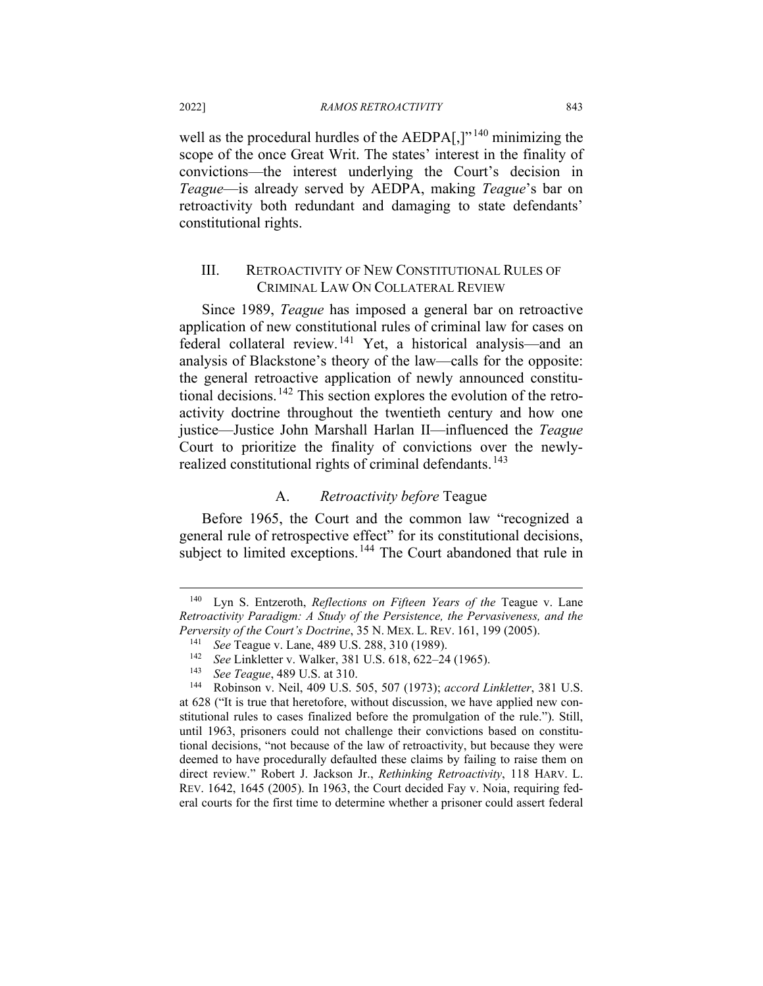well as the procedural hurdles of the AEDPA[,]"<sup>[140](#page-19-0)</sup> minimizing the scope of the once Great Writ. The states' interest in the finality of convictions—the interest underlying the Court's decision in *Teague*—is already served by AEDPA, making *Teague*'s bar on retroactivity both redundant and damaging to state defendants' constitutional rights.

### III. RETROACTIVITY OF NEW CONSTITUTIONAL RULES OF CRIMINAL LAW ON COLLATERAL REVIEW

Since 1989, *Teague* has imposed a general bar on retroactive application of new constitutional rules of criminal law for cases on federal collateral review. [141](#page-19-1) Yet, a historical analysis—and an analysis of Blackstone's theory of the law—calls for the opposite: the general retroactive application of newly announced constitu-tional decisions.<sup>[142](#page-19-2)</sup> This section explores the evolution of the retroactivity doctrine throughout the twentieth century and how one justice—Justice John Marshall Harlan II—influenced the *Teague* Court to prioritize the finality of convictions over the newly-realized constitutional rights of criminal defendants.<sup>[143](#page-19-3)</sup>

#### A. *Retroactivity before* Teague

Before 1965, the Court and the common law "recognized a general rule of retrospective effect" for its constitutional decisions, subject to limited exceptions.<sup>[144](#page-19-4)</sup> The Court abandoned that rule in

<span id="page-19-1"></span><span id="page-19-0"></span><sup>&</sup>lt;sup>140</sup> Lyn S. Entzeroth, *Reflections on Fifteen Years of the* Teague v. Lane *Retroactivity Paradigm: A Study of the Persistence, the Pervasiveness, and the Perversity of the Court's Doctrine*, 35 N. MEX. L. REV. 161, 199 (2005).

<sup>141</sup> *See* Teague v. Lane, 489 U.S. 288, 310 (1989).

<sup>142</sup> *See* Linkletter v. Walker, 381 U.S. 618, 622–24 (1965).

<sup>&</sup>lt;sup>143</sup> *See Teague*, 489 U.S. at 310.<br><sup>144</sup> Robinson v Neil 409 U.S.

<span id="page-19-4"></span><span id="page-19-3"></span><span id="page-19-2"></span><sup>144</sup> Robinson v. Neil, 409 U.S. 505, 507 (1973); *accord Linkletter*, 381 U.S. at 628 ("It is true that heretofore, without discussion, we have applied new constitutional rules to cases finalized before the promulgation of the rule."). Still, until 1963, prisoners could not challenge their convictions based on constitutional decisions, "not because of the law of retroactivity, but because they were deemed to have procedurally defaulted these claims by failing to raise them on direct review." Robert J. Jackson Jr., *Rethinking Retroactivity*, 118 HARV. L. REV. 1642, 1645 (2005). In 1963, the Court decided Fay v. Noia, requiring federal courts for the first time to determine whether a prisoner could assert federal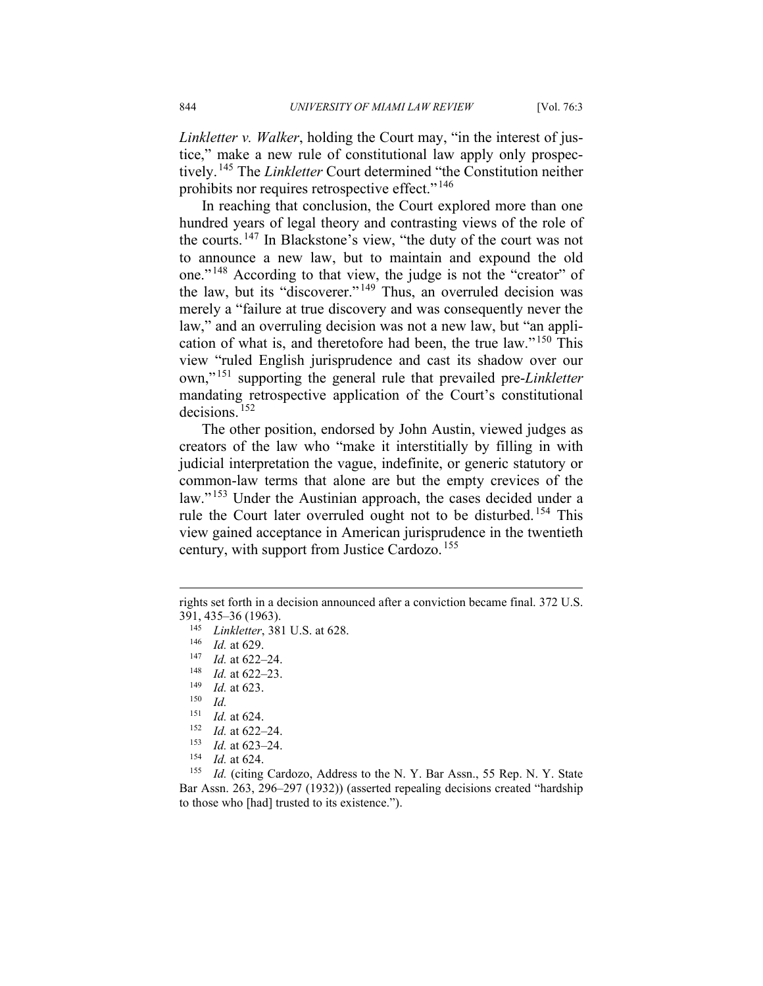*Linkletter v. Walker*, holding the Court may, "in the interest of justice," make a new rule of constitutional law apply only prospectively.[145](#page-20-0) The *Linkletter* Court determined "the Constitution neither prohibits nor requires retrospective effect."<sup>[146](#page-20-1)</sup>

In reaching that conclusion, the Court explored more than one hundred years of legal theory and contrasting views of the role of the courts. [147](#page-20-2) In Blackstone's view, "the duty of the court was not to announce a new law, but to maintain and expound the old one." [148](#page-20-3) According to that view, the judge is not the "creator" of the law, but its "discoverer." [149](#page-20-4) Thus, an overruled decision was merely a "failure at true discovery and was consequently never the law," and an overruling decision was not a new law, but "an application of what is, and theretofore had been, the true law." [150](#page-20-5) This view "ruled English jurisprudence and cast its shadow over our own," [151](#page-20-6) supporting the general rule that prevailed pre-*Linkletter* mandating retrospective application of the Court's constitutional decisions. [152](#page-20-7)

The other position, endorsed by John Austin, viewed judges as creators of the law who "make it interstitially by filling in with judicial interpretation the vague, indefinite, or generic statutory or common-law terms that alone are but the empty crevices of the law."<sup>[153](#page-20-8)</sup> Under the Austinian approach, the cases decided under a rule the Court later overruled ought not to be disturbed. [154](#page-20-9) This view gained acceptance in American jurisprudence in the twentieth century, with support from Justice Cardozo.<sup>[155](#page-20-10)</sup>

- $\frac{153}{154}$  *Id.* at 623–24.
- $\frac{154}{155}$  *Id.* at 624.

<span id="page-20-2"></span><span id="page-20-1"></span><span id="page-20-0"></span>rights set forth in a decision announced after a conviction became final. 372 U.S. 391, 435–36 (1963).

<sup>145</sup> *Linkletter*, 381 U.S. at 628.

 $\frac{146}{147}$  *Id.* at 629.

 $\frac{147}{148}$  *Id.* at 622–24.

<span id="page-20-4"></span><span id="page-20-3"></span> $\frac{148}{149}$  *Id.* at 622–23.

*Id.* at 623.

<span id="page-20-5"></span> $\frac{150}{151}$  *Id.* 

*Id.* at 624.

 $\frac{152}{153}$  *Id.* at 622–24.

<span id="page-20-10"></span><span id="page-20-9"></span><span id="page-20-8"></span><span id="page-20-7"></span><span id="page-20-6"></span>Id. (citing Cardozo, Address to the N. Y. Bar Assn., 55 Rep. N. Y. State Bar Assn. 263, 296–297 (1932)) (asserted repealing decisions created "hardship to those who [had] trusted to its existence.").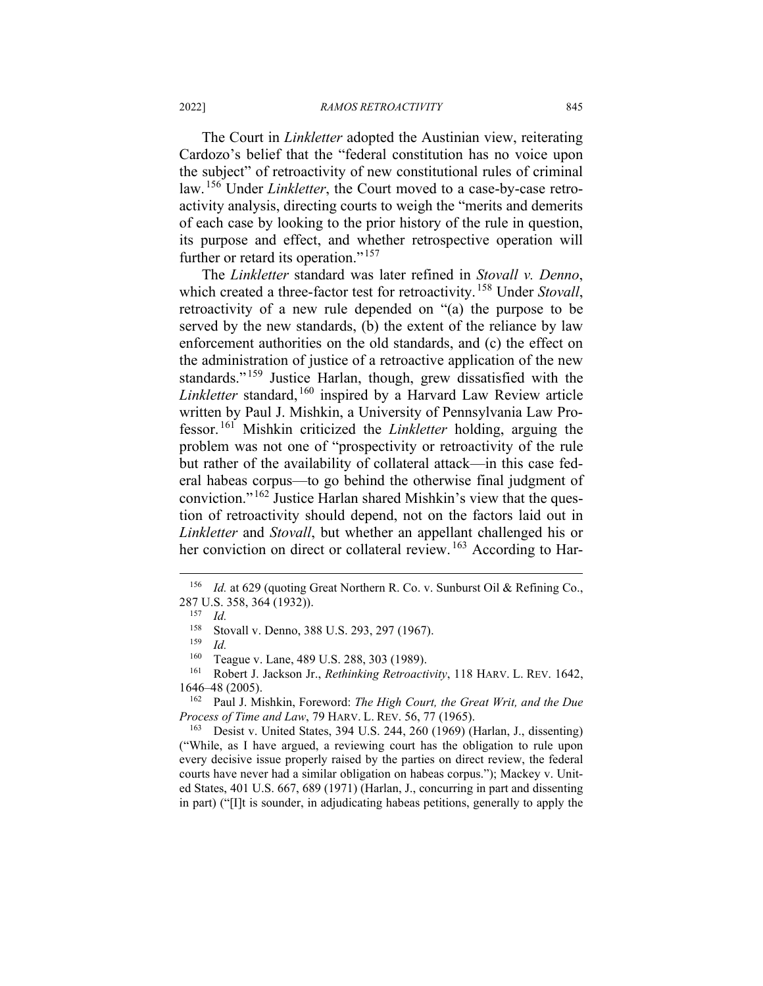The Court in *Linkletter* adopted the Austinian view, reiterating Cardozo's belief that the "federal constitution has no voice upon the subject" of retroactivity of new constitutional rules of criminal law. [156](#page-21-0) Under *Linkletter*, the Court moved to a case-by-case retroactivity analysis, directing courts to weigh the "merits and demerits of each case by looking to the prior history of the rule in question, its purpose and effect, and whether retrospective operation will further or retard its operation."<sup>[157](#page-21-1)</sup>

The *Linkletter* standard was later refined in *Stovall v. Denno*, which created a three-factor test for retroactivity.<sup>[158](#page-21-2)</sup> Under *Stovall*, retroactivity of a new rule depended on "(a) the purpose to be served by the new standards, (b) the extent of the reliance by law enforcement authorities on the old standards, and (c) the effect on the administration of justice of a retroactive application of the new standards."<sup>[159](#page-21-3)</sup> Justice Harlan, though, grew dissatisfied with the *Linkletter* standard, [160](#page-21-4) inspired by a Harvard Law Review article written by Paul J. Mishkin, a University of Pennsylvania Law Professor. [161](#page-21-5) Mishkin criticized the *Linkletter* holding, arguing the problem was not one of "prospectivity or retroactivity of the rule but rather of the availability of collateral attack—in this case federal habeas corpus—to go behind the otherwise final judgment of conviction." [162](#page-21-6) Justice Harlan shared Mishkin's view that the question of retroactivity should depend, not on the factors laid out in *Linkletter* and *Stovall*, but whether an appellant challenged his or her conviction on direct or collateral review.<sup>[163](#page-21-7)</sup> According to Har-

<span id="page-21-7"></span><sup>163</sup> Desist v. United States, 394 U.S. 244, 260 (1969) (Harlan, J., dissenting) ("While, as I have argued, a reviewing court has the obligation to rule upon every decisive issue properly raised by the parties on direct review, the federal courts have never had a similar obligation on habeas corpus."); Mackey v. United States, 401 U.S. 667, 689 (1971) (Harlan, J., concurring in part and dissenting in part) ("[I]t is sounder, in adjudicating habeas petitions, generally to apply the

<span id="page-21-2"></span><span id="page-21-1"></span><span id="page-21-0"></span><sup>&</sup>lt;sup>156</sup> *Id.* at 629 (quoting Great Northern R. Co. v. Sunburst Oil & Refining Co., 287 U.S. 358, 364 (1932)).<br>157 Ld

 $\frac{157}{158}$  *Id.* 

Stovall v. Denno, 388 U.S. 293, 297 (1967).

 $\frac{159}{160}$  *Id.* 

<sup>&</sup>lt;sup>160</sup> Teague v. Lane, 489 U.S. 288, 303 (1989).<br><sup>161</sup> Robert L. Jackson Jr. *Rethinking Retroacti* 

<span id="page-21-5"></span><span id="page-21-4"></span><span id="page-21-3"></span><sup>161</sup> Robert J. Jackson Jr., *Rethinking Retroactivity*, 118 HARV. L. REV. 1642, 1646–48 (2005).

<span id="page-21-6"></span><sup>162</sup> Paul J. Mishkin, Foreword: *The High Court, the Great Writ, and the Due Process of Time and Law*, 79 HARV. L. REV. 56, 77 (1965).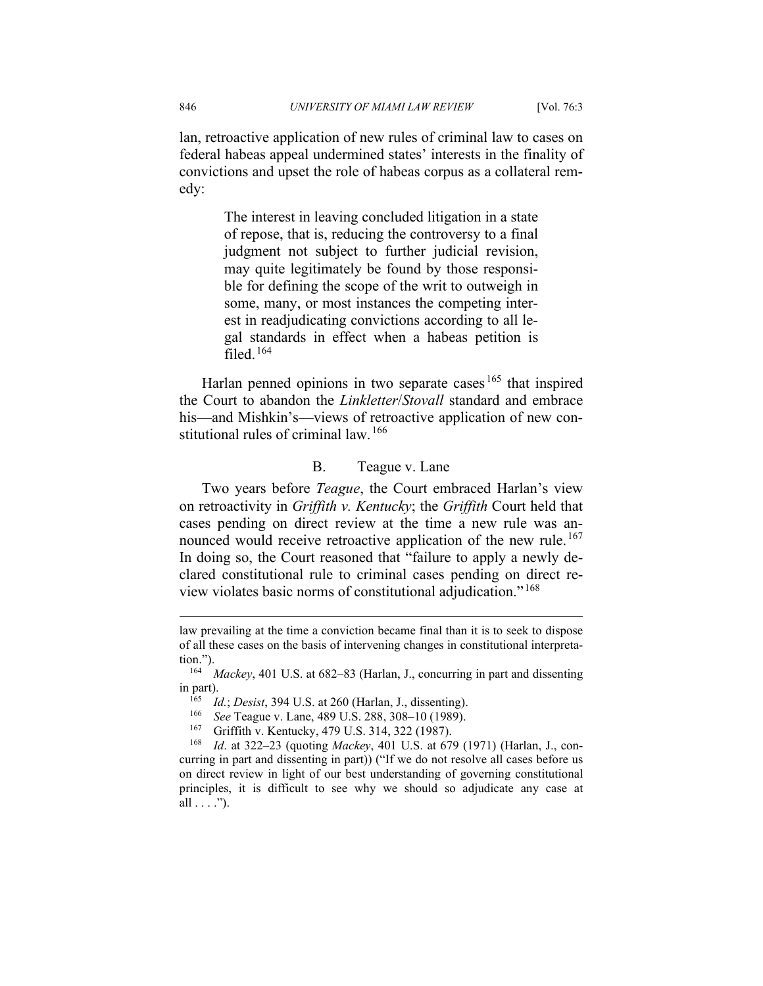lan, retroactive application of new rules of criminal law to cases on federal habeas appeal undermined states' interests in the finality of convictions and upset the role of habeas corpus as a collateral remedy:

> The interest in leaving concluded litigation in a state of repose, that is, reducing the controversy to a final judgment not subject to further judicial revision, may quite legitimately be found by those responsible for defining the scope of the writ to outweigh in some, many, or most instances the competing interest in readjudicating convictions according to all legal standards in effect when a habeas petition is filed. [164](#page-22-0)

Harlan penned opinions in two separate cases<sup>[165](#page-22-1)</sup> that inspired the Court to abandon the *Linkletter*/*Stovall* standard and embrace his—and Mishkin's—views of retroactive application of new con-stitutional rules of criminal law. <sup>[166](#page-22-2)</sup>

### B. Teague v. Lane

Two years before *Teague*, the Court embraced Harlan's view on retroactivity in *Griffith v. Kentucky*; the *Griffith* Court held that cases pending on direct review at the time a new rule was an-nounced would receive retroactive application of the new rule.<sup>[167](#page-22-3)</sup> In doing so, the Court reasoned that "failure to apply a newly declared constitutional rule to criminal cases pending on direct review violates basic norms of constitutional adjudication." [168](#page-22-4)

law prevailing at the time a conviction became final than it is to seek to dispose of all these cases on the basis of intervening changes in constitutional interpretation.").

<span id="page-22-1"></span><span id="page-22-0"></span><sup>&</sup>lt;sup>164</sup> *Mackey*, 401 U.S. at 682–83 (Harlan, J., concurring in part and dissenting in part).

<sup>165</sup> *Id.*; *Desist*, 394 U.S. at 260 (Harlan, J., dissenting).

<sup>166</sup> *See* Teague v. Lane, 489 U.S. 288, 308–10 (1989).

<sup>&</sup>lt;sup>167</sup> Griffith v. Kentucky, 479 U.S. 314, 322 (1987).<br><sup>168</sup> Id at 322–23 (quoting *Mackey*, 401 U.S. at 67

<span id="page-22-4"></span><span id="page-22-3"></span><span id="page-22-2"></span>*Id.* at 322–23 (quoting *Mackey*, 401 U.S. at 679 (1971) (Harlan, J., concurring in part and dissenting in part)) ("If we do not resolve all cases before us on direct review in light of our best understanding of governing constitutional principles, it is difficult to see why we should so adjudicate any case at all  $\dots$ .").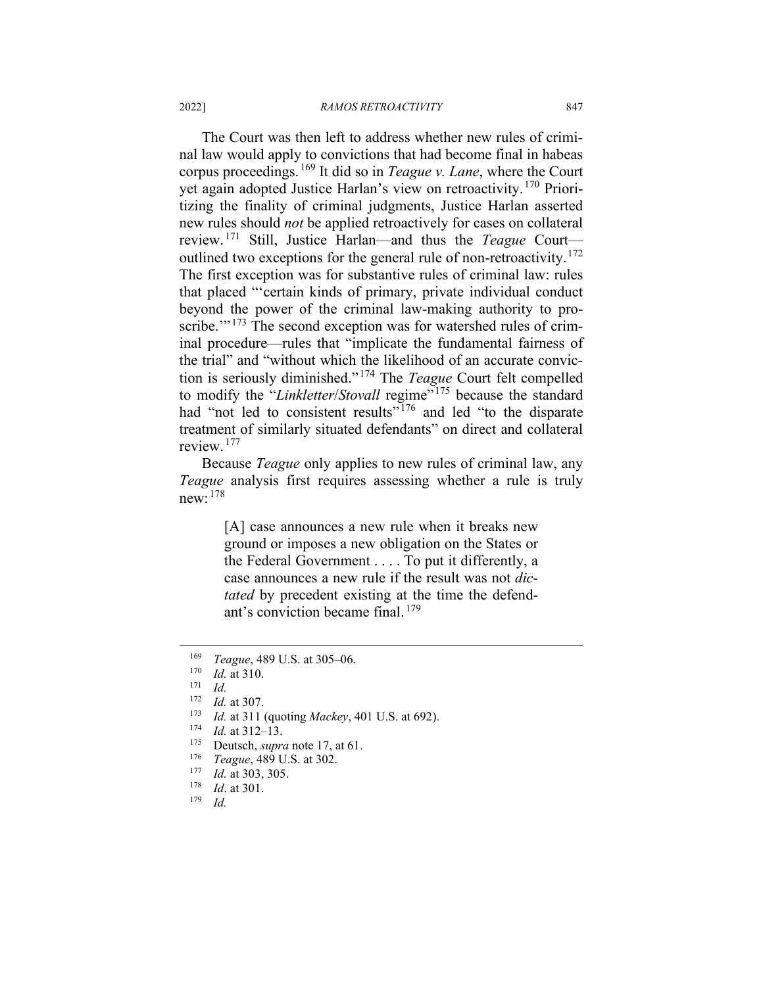The Court was then left to address whether new rules of criminal law would apply to convictions that had become final in habeas corpus proceedings. [169](#page-23-0) It did so in *Teague v. Lane*, where the Court yet again adopted Justice Harlan's view on retroactivity.[170](#page-23-1) Prioritizing the finality of criminal judgments, Justice Harlan asserted new rules should *not* be applied retroactively for cases on collateral review. [171](#page-23-2) Still, Justice Harlan—and thus the *Teague* Court— outlined two exceptions for the general rule of non-retroactivity.<sup>[172](#page-23-3)</sup> The first exception was for substantive rules of criminal law: rules that placed "'certain kinds of primary, private individual conduct beyond the power of the criminal law-making authority to pro-scribe.'"<sup>[173](#page-23-4)</sup> The second exception was for watershed rules of criminal procedure—rules that "implicate the fundamental fairness of the trial" and "without which the likelihood of an accurate conviction is seriously diminished." [174](#page-23-5) The *Teague* Court felt compelled to modify the "*Linkletter/Stovall* regime"<sup>[175](#page-23-6)</sup> because the standard had "not led to consistent results"<sup>[176](#page-23-7)</sup> and led "to the disparate treatment of similarly situated defendants" on direct and collateral review. [177](#page-23-8)

Because *Teague* only applies to new rules of criminal law, any *Teague* analysis first requires assessing whether a rule is truly new: [178](#page-23-9)

> [A] case announces a new rule when it breaks new ground or imposes a new obligation on the States or the Federal Government . . . . To put it differently, a case announces a new rule if the result was not *dictated* by precedent existing at the time the defendant's conviction became final. [179](#page-23-10)

- *Id.* at 311 (quoting *Mackey*, 401 U.S. at 692).
- <span id="page-23-5"></span> $\frac{174}{175}$  *Id.* at 312–13.
- <span id="page-23-6"></span><sup>175</sup> Deutsch, *supra* note 17, at 61.<br><sup>176</sup> Teggye 480 U.S. at 302
- <span id="page-23-7"></span><sup>176</sup> *Teague*, 489 U.S. at 302.
- <span id="page-23-8"></span> $\frac{177}{178}$  *Id.* at 303, 305.
- <span id="page-23-10"></span><span id="page-23-9"></span> $\frac{178}{179}$  *Id.* at 301.
- *Id.*

<span id="page-23-0"></span><sup>&</sup>lt;sup>169</sup> *Teague*, 489 U.S. at 305–06.

<span id="page-23-1"></span> $\frac{170}{171}$  *Id.* at 310.

<span id="page-23-2"></span> $\frac{171}{172}$  *Id.* 

<span id="page-23-4"></span><span id="page-23-3"></span> $\frac{172}{173}$  *Id.* at 307.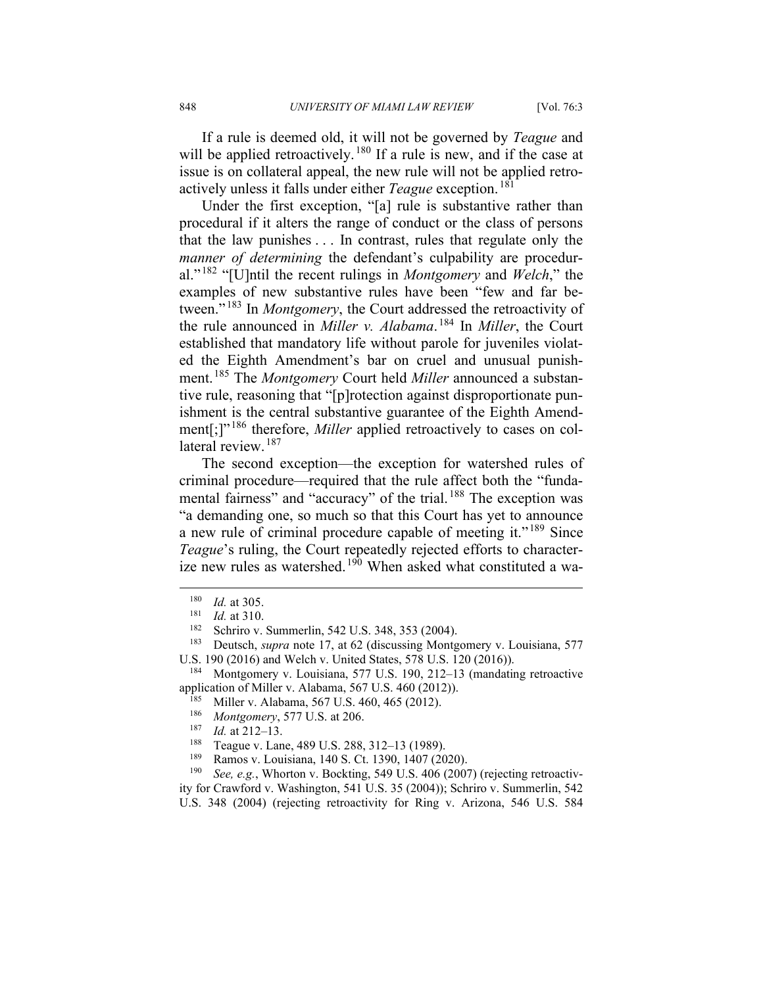If a rule is deemed old, it will not be governed by *Teague* and will be applied retroactively.<sup>[180](#page-24-0)</sup> If a rule is new, and if the case at issue is on collateral appeal, the new rule will not be applied retroactively unless it falls under either *Teague* exception. [181](#page-24-1)

Under the first exception, "[a] rule is substantive rather than procedural if it alters the range of conduct or the class of persons that the law punishes . . . In contrast, rules that regulate only the *manner of determining* the defendant's culpability are procedural." [182](#page-24-2) "[U]ntil the recent rulings in *Montgomery* and *Welch*," the examples of new substantive rules have been "few and far between." [183](#page-24-3) In *Montgomery*, the Court addressed the retroactivity of the rule announced in *Miller v. Alabama*. [184](#page-24-4) In *Miller*, the Court established that mandatory life without parole for juveniles violated the Eighth Amendment's bar on cruel and unusual punishment.[185](#page-24-5) The *Montgomery* Court held *Miller* announced a substantive rule, reasoning that "[p]rotection against disproportionate punishment is the central substantive guarantee of the Eighth Amend-ment[;]"<sup>[186](#page-24-6)</sup> therefore, *Miller* applied retroactively to cases on col-lateral review.<sup>[187](#page-24-7)</sup>

The second exception—the exception for watershed rules of criminal procedure—required that the rule affect both the "fundamental fairness" and "accuracy" of the trial. [188](#page-24-8) The exception was "a demanding one, so much so that this Court has yet to announce a new rule of criminal procedure capable of meeting it."<sup>[189](#page-24-9)</sup> Since *Teague*'s ruling, the Court repeatedly rejected efforts to character-ize new rules as watershed.<sup>[190](#page-24-10)</sup> When asked what constituted a wa-

- <sup>188</sup> Teague v. Lane, 489 U.S. 288, 312–13 (1989).<br><sup>189</sup> Pamos v. Louisiana, 140 S. Ct. 1390, 1407 (20
- <sup>189</sup> Ramos v. Louisiana, 140 S. Ct. 1390, 1407 (2020).<br><sup>190</sup> *See e g*. Whorton v. Bockting, 549 U.S. 406 (2007)

See, e.g., Whorton v. Bockting, 549 U.S. 406 (2007) (rejecting retroactiv-

<span id="page-24-10"></span><span id="page-24-9"></span><span id="page-24-8"></span>ity for Crawford v. Washington, 541 U.S. 35 (2004)); Schriro v. Summerlin, 542 U.S. 348 (2004) (rejecting retroactivity for Ring v. Arizona, 546 U.S. 584

 $\frac{180}{181}$  *Id.* at 305.

 $\frac{181}{182}$  *Id.* at 310.

Schriro v. Summerlin, 542 U.S. 348, 353 (2004).

<span id="page-24-3"></span><span id="page-24-2"></span><span id="page-24-1"></span><span id="page-24-0"></span><sup>183</sup> Deutsch, *supra* note 17, at 62 (discussing Montgomery v. Louisiana, 577 U.S. 190 (2016) and Welch v. United States, 578 U.S. 120 (2016)).

<span id="page-24-7"></span><span id="page-24-6"></span><span id="page-24-5"></span><span id="page-24-4"></span><sup>184</sup> Montgomery v. Louisiana, 577 U.S. 190, 212–13 (mandating retroactive application of Miller v. Alabama, 567 U.S. 460 (2012)).<br><sup>185</sup> Miller v. Alabama, 567 U.S. 460, 465 (2012).

<sup>&</sup>lt;sup>185</sup> Miller v. Alabama, 567 U.S. 460, 465 (2012).

*Montgomery*, 577 U.S. at 206.

 $\frac{187}{188}$  *Id.* at 212–13.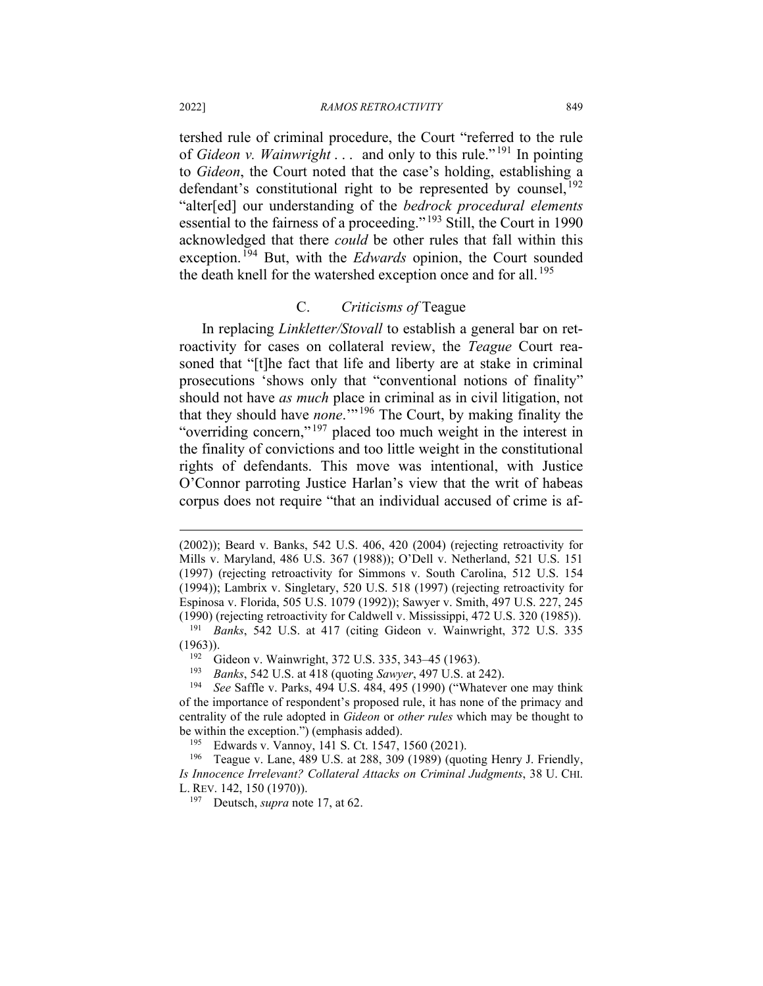tershed rule of criminal procedure, the Court "referred to the rule of *Gideon v. Wainwright* . . . and only to this rule." [191](#page-25-0) In pointing to *Gideon*, the Court noted that the case's holding, establishing a defendant's constitutional right to be represented by counsel,  $^{192}$  $^{192}$  $^{192}$ "alter[ed] our understanding of the *bedrock procedural elements* essential to the fairness of a proceeding." [193](#page-25-2) Still, the Court in 1990 acknowledged that there *could* be other rules that fall within this exception. [194](#page-25-3) But, with the *Edwards* opinion, the Court sounded the death knell for the watershed exception once and for all.<sup>[195](#page-25-4)</sup>

#### C. *Criticisms of* Teague

In replacing *Linkletter/Stovall* to establish a general bar on retroactivity for cases on collateral review, the *Teague* Court reasoned that "[t]he fact that life and liberty are at stake in criminal prosecutions 'shows only that "conventional notions of finality" should not have *as much* place in criminal as in civil litigation, not that they should have *none*.'" [196](#page-25-5) The Court, by making finality the "overriding concern,"<sup>[197](#page-25-6)</sup> placed too much weight in the interest in the finality of convictions and too little weight in the constitutional rights of defendants. This move was intentional, with Justice O'Connor parroting Justice Harlan's view that the writ of habeas corpus does not require "that an individual accused of crime is af-

<sup>(2002));</sup> Beard v. Banks, 542 U.S. 406, 420 (2004) (rejecting retroactivity for Mills v. Maryland, 486 U.S. 367 (1988)); O'Dell v. Netherland, 521 U.S. 151 (1997) (rejecting retroactivity for Simmons v. South Carolina, 512 U.S. 154 (1994)); Lambrix v. Singletary, 520 U.S. 518 (1997) (rejecting retroactivity for Espinosa v. Florida, 505 U.S. 1079 (1992)); Sawyer v. Smith, 497 U.S. 227, 245 (1990) (rejecting retroactivity for Caldwell v. Mississippi, 472 U.S. 320 (1985)).

<span id="page-25-1"></span><span id="page-25-0"></span><sup>191</sup> *Banks*, 542 U.S. at 417 (citing Gideon v. Wainwright, 372 U.S. 335  $(1963)$ ).

<sup>&</sup>lt;sup>192</sup> Gideon v. Wainwright, 372 U.S. 335, 343–45 (1963).<br><sup>193</sup> Banka 543 U.S. at 418 (quating Saunon 407 U.S. at 2

<sup>193</sup> *Banks*, 542 U.S. at 418 (quoting *Sawyer*, 497 U.S. at 242).

<span id="page-25-3"></span><span id="page-25-2"></span>See Saffle v. Parks, 494 U.S. 484, 495 (1990) ("Whatever one may think of the importance of respondent's proposed rule, it has none of the primacy and centrality of the rule adopted in *Gideon* or *other rules* which may be thought to be within the exception.") (emphasis added).<br> $^{195}$  Edwards v Vannov 141 S Ct 1547

Edwards v. Vannoy, 141 S. Ct. 1547, 1560 (2021).

<span id="page-25-6"></span><span id="page-25-5"></span><span id="page-25-4"></span><sup>196</sup> Teague v. Lane, 489 U.S. at 288, 309 (1989) (quoting Henry J. Friendly, *Is Innocence Irrelevant? Collateral Attacks on Criminal Judgments*, 38 U. CHI. L. REV. 142, 150 (1970)).

<sup>197</sup> Deutsch, *supra* note 17, at 62.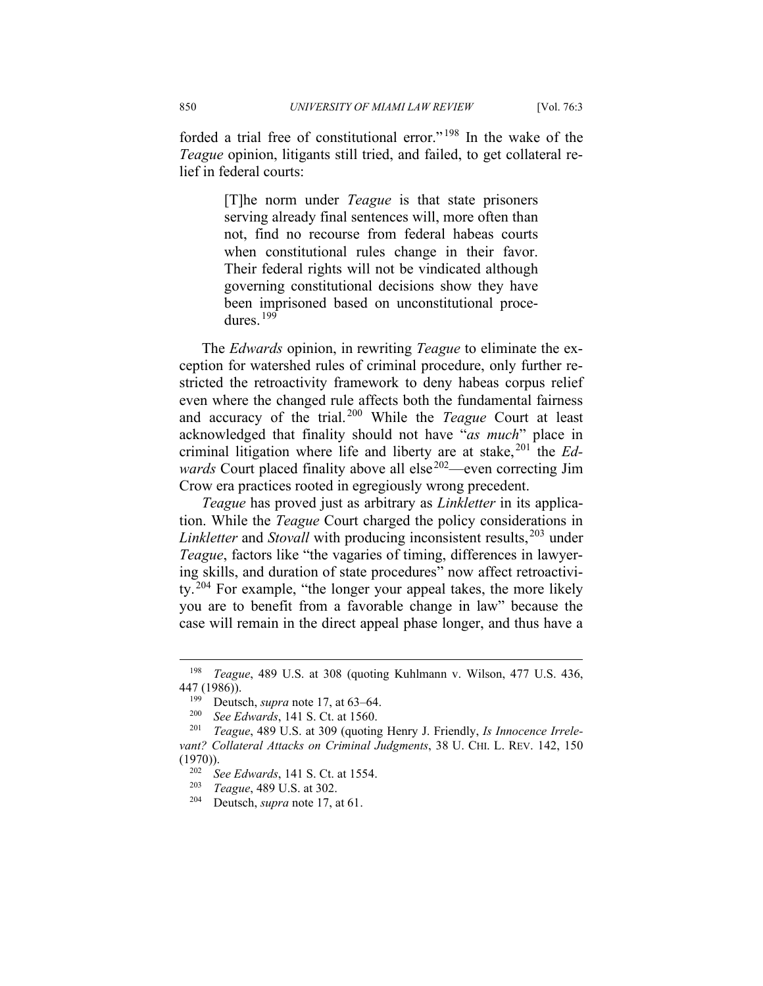forded a trial free of constitutional error." [198](#page-26-0) In the wake of the *Teague* opinion, litigants still tried, and failed, to get collateral relief in federal courts:

> [T]he norm under *Teague* is that state prisoners serving already final sentences will, more often than not, find no recourse from federal habeas courts when constitutional rules change in their favor. Their federal rights will not be vindicated although governing constitutional decisions show they have been imprisoned based on unconstitutional procedures. [199](#page-26-1)

The *Edwards* opinion, in rewriting *Teague* to eliminate the exception for watershed rules of criminal procedure, only further restricted the retroactivity framework to deny habeas corpus relief even where the changed rule affects both the fundamental fairness and accuracy of the trial. [200](#page-26-2) While the *Teague* Court at least acknowledged that finality should not have "*as much*" place in criminal litigation where life and liberty are at stake, [201](#page-26-3) the *Edwards* Court placed finality above all else<sup>[202](#page-26-4)</sup>—even correcting Jim Crow era practices rooted in egregiously wrong precedent.

*Teague* has proved just as arbitrary as *Linkletter* in its application. While the *Teague* Court charged the policy considerations in *Linkletter* and *Stovall* with producing inconsistent results, <sup>[203](#page-26-5)</sup> under *Teague*, factors like "the vagaries of timing, differences in lawyering skills, and duration of state procedures" now affect retroactivi-ty.<sup>[204](#page-26-6)</sup> For example, "the longer your appeal takes, the more likely you are to benefit from a favorable change in law" because the case will remain in the direct appeal phase longer, and thus have a

<span id="page-26-0"></span><sup>198</sup> *Teague*, 489 U.S. at 308 (quoting Kuhlmann v. Wilson, 477 U.S. 436, 447 (1986)).

<sup>&</sup>lt;sup>199</sup> Deutsch, *supra* note 17, at 63–64.<br><sup>200</sup> See Edwards 141 S Ct at 1560

<sup>200</sup> *See Edwards*, 141 S. Ct. at 1560.

<span id="page-26-6"></span><span id="page-26-5"></span><span id="page-26-4"></span><span id="page-26-3"></span><span id="page-26-2"></span><span id="page-26-1"></span><sup>201</sup> *Teague*, 489 U.S. at 309 (quoting Henry J. Friendly, *Is Innocence Irrelevant? Collateral Attacks on Criminal Judgments*, 38 U. CHI. L. REV. 142, 150  $(1970)$ ).

<sup>202</sup> *See Edwards*, 141 S. Ct. at 1554.

<sup>203</sup> *Teague*, 489 U.S. at 302.

Deutsch, *supra* note 17, at 61.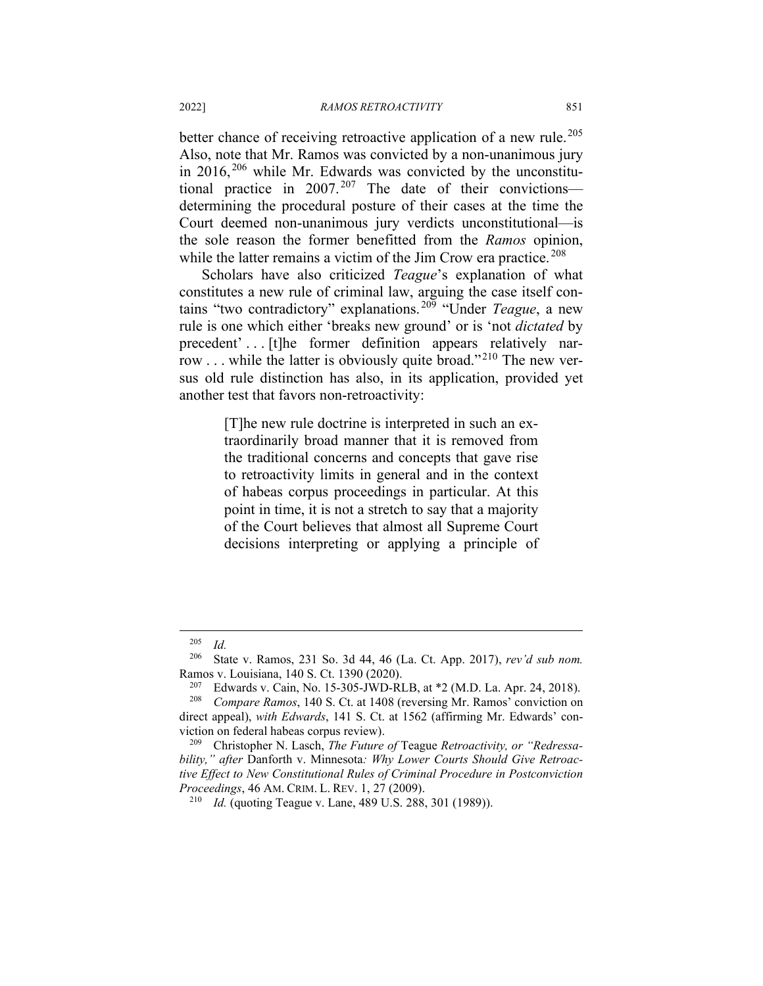better chance of receiving retroactive application of a new rule.<sup>[205](#page-27-0)</sup> Also, note that Mr. Ramos was convicted by a non-unanimous jury in  $2016$ ,  $206$  while Mr. Edwards was convicted by the unconstitutional practice in  $2007$ .<sup>[207](#page-27-2)</sup> The date of their convictions determining the procedural posture of their cases at the time the Court deemed non-unanimous jury verdicts unconstitutional—is the sole reason the former benefitted from the *Ramos* opinion, while the latter remains a victim of the Jim Crow era practice.<sup>[208](#page-27-3)</sup>

Scholars have also criticized *Teague*'s explanation of what constitutes a new rule of criminal law, arguing the case itself contains "two contradictory" explanations. [209](#page-27-4) "Under *Teague*, a new rule is one which either 'breaks new ground' or is 'not *dictated* by precedent' . . . [t]he former definition appears relatively nar-row . . . while the latter is obviously quite broad."<sup>[210](#page-27-5)</sup> The new versus old rule distinction has also, in its application, provided yet another test that favors non-retroactivity:

> [T]he new rule doctrine is interpreted in such an extraordinarily broad manner that it is removed from the traditional concerns and concepts that gave rise to retroactivity limits in general and in the context of habeas corpus proceedings in particular. At this point in time, it is not a stretch to say that a majority of the Court believes that almost all Supreme Court decisions interpreting or applying a principle of

 $\frac{205}{206}$  *Id.* 

<span id="page-27-1"></span><span id="page-27-0"></span><sup>206</sup> State v. Ramos, 231 So. 3d 44, 46 (La. Ct. App. 2017), *rev'd sub nom.* Ramos v. Louisiana, 140 S. Ct. 1390 (2020).

<sup>&</sup>lt;sup>207</sup> Edwards v. Cain, No. 15-305-JWD-RLB, at  $*2$  (M.D. La. Apr. 24, 2018).<br><sup>208</sup> Compare Ramos, 140 S. Ct. at 1408 (reversing Mr. Ramos' conviction on

<span id="page-27-3"></span><span id="page-27-2"></span>*Compare Ramos*, 140 S. Ct. at 1408 (reversing Mr. Ramos' conviction on direct appeal), *with Edwards*, 141 S. Ct. at 1562 (affirming Mr. Edwards' conviction on federal habeas corpus review).

<span id="page-27-5"></span><span id="page-27-4"></span><sup>209</sup> Christopher N. Lasch, *The Future of* Teague *Retroactivity, or "Redressability," after* Danforth v. Minnesota*: Why Lower Courts Should Give Retroactive Effect to New Constitutional Rules of Criminal Procedure in Postconviction Proceedings*, 46 AM. CRIM. L. REV. 1, 27 (2009).

<sup>&</sup>lt;sup>210</sup> *Id.* (quoting Teague v. Lane, 489 U.S. 288, 301 (1989)).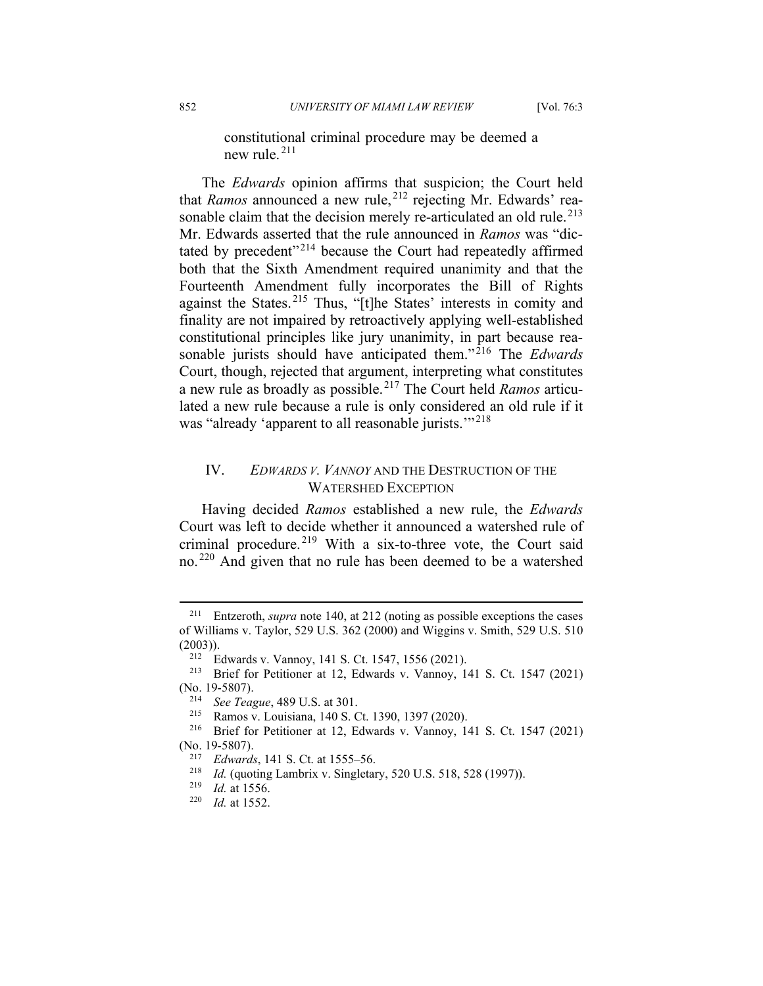constitutional criminal procedure may be deemed a new rule. [211](#page-28-0)

The *Edwards* opinion affirms that suspicion; the Court held that *Ramos* announced a new rule,<sup>[212](#page-28-1)</sup> rejecting Mr. Edwards' rea-sonable claim that the decision merely re-articulated an old rule.<sup>[213](#page-28-2)</sup> Mr. Edwards asserted that the rule announced in *Ramos* was "dic-tated by precedent"<sup>[214](#page-28-3)</sup> because the Court had repeatedly affirmed both that the Sixth Amendment required unanimity and that the Fourteenth Amendment fully incorporates the Bill of Rights against the States. [215](#page-28-4) Thus, "[t]he States' interests in comity and finality are not impaired by retroactively applying well-established constitutional principles like jury unanimity, in part because rea-sonable jurists should have anticipated them."<sup>[216](#page-28-5)</sup> The *Edwards* Court, though, rejected that argument, interpreting what constitutes a new rule as broadly as possible.[217](#page-28-6) The Court held *Ramos* articulated a new rule because a rule is only considered an old rule if it was "already 'apparent to all reasonable jurists."<sup>[218](#page-28-7)</sup>

### IV. *EDWARDS V. VANNOY* AND THE DESTRUCTION OF THE WATERSHED EXCEPTION

Having decided *Ramos* established a new rule, the *Edwards* Court was left to decide whether it announced a watershed rule of criminal procedure. [219](#page-28-8) With a six-to-three vote, the Court said no. [220](#page-28-9) And given that no rule has been deemed to be a watershed

<span id="page-28-0"></span><sup>211</sup> Entzeroth, *supra* note 140, at 212 (noting as possible exceptions the cases of Williams v. Taylor, 529 U.S. 362 (2000) and Wiggins v. Smith, 529 U.S. 510 (2003)).

<sup>&</sup>lt;sup>212</sup> Edwards v. Vannoy, 141 S. Ct. 1547, 1556 (2021).<br><sup>213</sup> Brief for Petitioner at 12 Edwards v. Vannoy, 1

<span id="page-28-3"></span><span id="page-28-2"></span><span id="page-28-1"></span>Brief for Petitioner at 12, Edwards v. Vannoy, 141 S. Ct. 1547 (2021) (No. 19-5807).

<sup>&</sup>lt;sup>214</sup> *See Teague*, 489 U.S. at 301.<br><sup>215</sup> **Bamos v. Louisiana** 140 S.C.

<sup>215</sup> Ramos v. Louisiana, 140 S. Ct. 1390, 1397 (2020).

<span id="page-28-7"></span><span id="page-28-6"></span><span id="page-28-5"></span><span id="page-28-4"></span><sup>216</sup> Brief for Petitioner at 12, Edwards v. Vannoy, 141 S. Ct. 1547 (2021) (No. 19-5807).

<sup>217</sup> *Edwards*, 141 S. Ct. at 1555–56.

<sup>218</sup> *Id.* (quoting Lambrix v. Singletary, 520 U.S. 518, 528 (1997)).

<span id="page-28-9"></span><span id="page-28-8"></span> $\frac{219}{220}$  *Id.* at 1556.

*Id.* at 1552.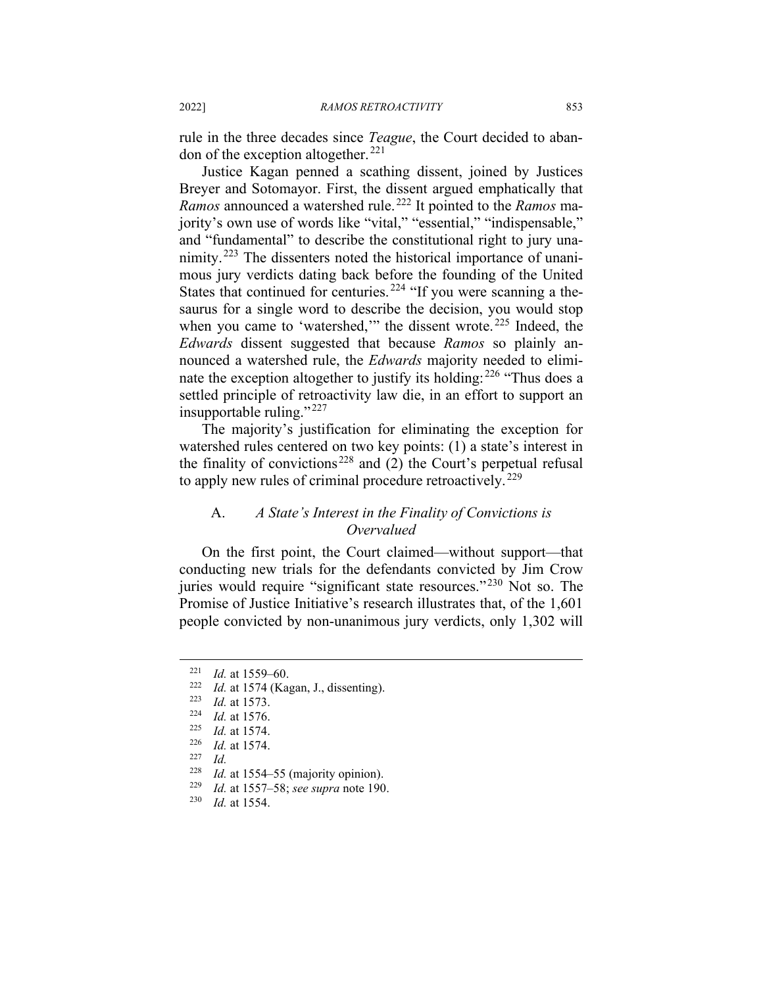rule in the three decades since *Teague*, the Court decided to aban-don of the exception altogether.<sup>[221](#page-29-0)</sup>

Justice Kagan penned a scathing dissent, joined by Justices Breyer and Sotomayor. First, the dissent argued emphatically that *Ramos* announced a watershed rule. [222](#page-29-1) It pointed to the *Ramos* majority's own use of words like "vital," "essential," "indispensable," and "fundamental" to describe the constitutional right to jury una-nimity.<sup>[223](#page-29-2)</sup> The dissenters noted the historical importance of unanimous jury verdicts dating back before the founding of the United States that continued for centuries.<sup>[224](#page-29-3)</sup> "If you were scanning a thesaurus for a single word to describe the decision, you would stop when you came to 'watershed,'" the dissent wrote.<sup>[225](#page-29-4)</sup> Indeed, the *Edwards* dissent suggested that because *Ramos* so plainly announced a watershed rule, the *Edwards* majority needed to eliminate the exception altogether to justify its holding:  $226$  "Thus does a settled principle of retroactivity law die, in an effort to support an insupportable ruling." $^{227}$  $^{227}$  $^{227}$ 

The majority's justification for eliminating the exception for watershed rules centered on two key points: (1) a state's interest in the finality of convictions<sup>[228](#page-29-7)</sup> and  $(2)$  the Court's perpetual refusal to apply new rules of criminal procedure retroactively.<sup>[229](#page-29-8)</sup>

### A. *A State's Interest in the Finality of Convictions is Overvalued*

On the first point, the Court claimed—without support—that conducting new trials for the defendants convicted by Jim Crow juries would require "significant state resources."<sup>[230](#page-29-9)</sup> Not so. The Promise of Justice Initiative's research illustrates that, of the 1,601 people convicted by non-unanimous jury verdicts, only 1,302 will

<span id="page-29-1"></span><span id="page-29-0"></span> $\frac{221}{222}$  *Id.* at 1559–60.

<sup>&</sup>lt;sup>222</sup> *Id.* at 1574 (Kagan, J., dissenting).<br><sup>223</sup> *Id.* at 1573

<span id="page-29-3"></span><span id="page-29-2"></span> $\frac{223}{224}$  *Id.* at 1573.

*Id.* at 1576.

 $\frac{225}{226}$  *Id.* at 1574.

<span id="page-29-5"></span><span id="page-29-4"></span> $\frac{226}{227}$  *Id.* at 1574.

 $\frac{227}{228}$  *Id.* 

<span id="page-29-8"></span><span id="page-29-7"></span><span id="page-29-6"></span><sup>&</sup>lt;sup>228</sup> *Id.* at 1554–55 (majority opinion).<br><sup>229</sup> *Id.* at 1557–58; see sunna note 100

<span id="page-29-9"></span><sup>229</sup> *Id.* at 1557–58; *see supra* note 190.

*Id.* at 1554.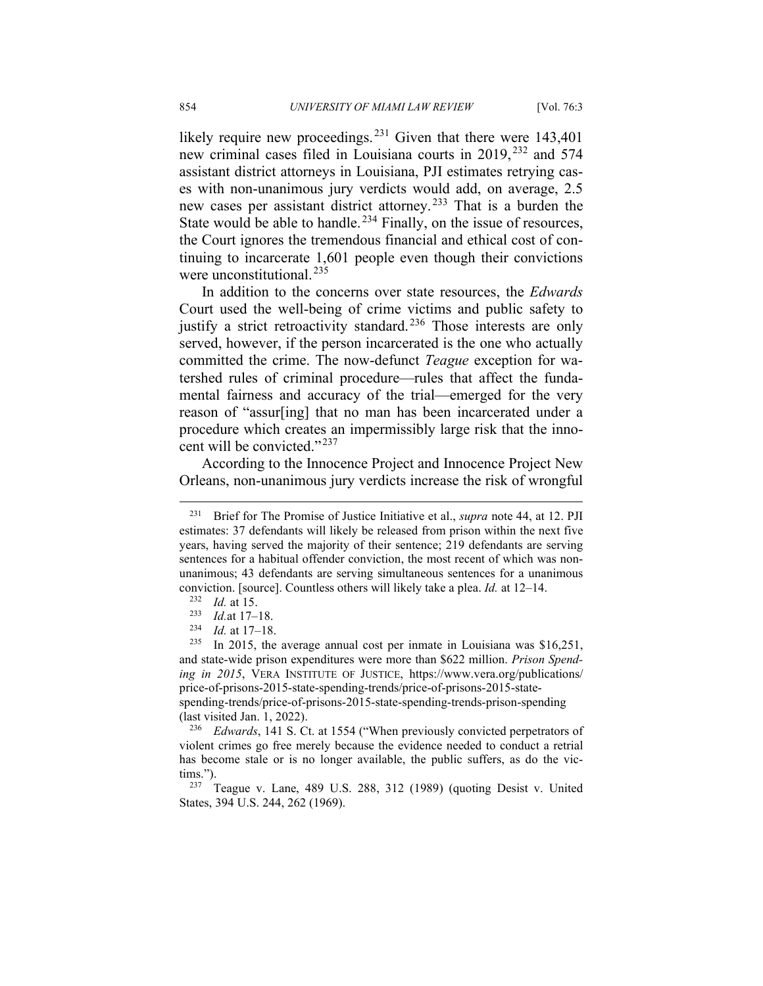likely require new proceedings.<sup>[231](#page-30-0)</sup> Given that there were 143,401 new criminal cases filed in Louisiana courts in 2019, [232](#page-30-1) and 574 assistant district attorneys in Louisiana, PJI estimates retrying cases with non-unanimous jury verdicts would add, on average, 2.5 new cases per assistant district attorney.<sup>[233](#page-30-2)</sup> That is a burden the State would be able to handle.<sup>[234](#page-30-3)</sup> Finally, on the issue of resources, the Court ignores the tremendous financial and ethical cost of continuing to incarcerate 1,601 people even though their convictions were unconstitutional.<sup>[235](#page-30-4)</sup>

In addition to the concerns over state resources, the *Edwards* Court used the well-being of crime victims and public safety to justify a strict retroactivity standard.<sup>[236](#page-30-5)</sup> Those interests are only served, however, if the person incarcerated is the one who actually committed the crime. The now-defunct *Teague* exception for watershed rules of criminal procedure—rules that affect the fundamental fairness and accuracy of the trial—emerged for the very reason of "assur[ing] that no man has been incarcerated under a procedure which creates an impermissibly large risk that the inno-cent will be convicted."<sup>[237](#page-30-6)</sup>

According to the Innocence Project and Innocence Project New Orleans, non-unanimous jury verdicts increase the risk of wrongful

<span id="page-30-0"></span><sup>231</sup> Brief for The Promise of Justice Initiative et al., *supra* note 44, at 12. PJI estimates: 37 defendants will likely be released from prison within the next five years, having served the majority of their sentence; 219 defendants are serving sentences for a habitual offender conviction, the most recent of which was nonunanimous; 43 defendants are serving simultaneous sentences for a unanimous conviction. [source]. Countless others will likely take a plea. *Id.* at 12–14.

<sup>&</sup>lt;sup>232</sup> *Id.* at 15.<br><sup>233</sup> *Id* at 17

 $\frac{233}{234}$  *Id.* at 17–18.

*Id.* at 17-18.

<span id="page-30-4"></span><span id="page-30-3"></span><span id="page-30-2"></span><span id="page-30-1"></span><sup>&</sup>lt;sup>235</sup> In 2015, the average annual cost per inmate in Louisiana was \$16,251, and state-wide prison expenditures were more than \$622 million. *Prison Spending in 2015*, VERA INSTITUTE OF JUSTICE, https://www.vera.org/publications/ price-of-prisons-2015-state-spending-trends/price-of-prisons-2015-statespending-trends/price-of-prisons-2015-state-spending-trends-prison-spending (last visited Jan. 1, 2022).

<span id="page-30-5"></span><sup>236</sup> *Edwards*, 141 S. Ct. at 1554 ("When previously convicted perpetrators of violent crimes go free merely because the evidence needed to conduct a retrial has become stale or is no longer available, the public suffers, as do the vic- $\lim_{237}$ .").

<span id="page-30-6"></span>Teague v. Lane, 489 U.S. 288, 312 (1989) (quoting Desist v. United States, 394 U.S. 244, 262 (1969).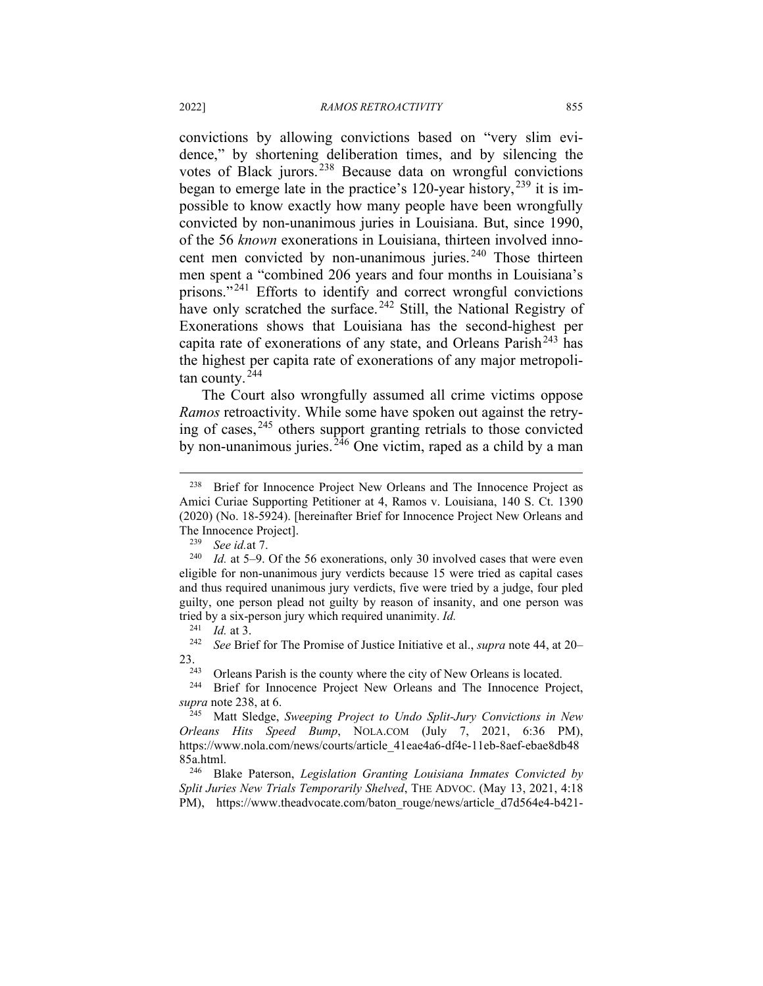convictions by allowing convictions based on "very slim evidence," by shortening deliberation times, and by silencing the votes of Black jurors. [238](#page-31-0) Because data on wrongful convictions began to emerge late in the practice's 120-year history,  $^{239}$  $^{239}$  $^{239}$  it is impossible to know exactly how many people have been wrongfully convicted by non-unanimous juries in Louisiana. But, since 1990, of the 56 *known* exonerations in Louisiana, thirteen involved innocent men convicted by non-unanimous juries. [240](#page-31-2) Those thirteen men spent a "combined 206 years and four months in Louisiana's prisons."<sup>[241](#page-31-3)</sup> Efforts to identify and correct wrongful convictions have only scratched the surface.<sup>[242](#page-31-4)</sup> Still, the National Registry of Exonerations shows that Louisiana has the second-highest per capita rate of exonerations of any state, and Orleans Parish<sup>[243](#page-31-5)</sup> has the highest per capita rate of exonerations of any major metropolitan county. [244](#page-31-6)

The Court also wrongfully assumed all crime victims oppose *Ramos* retroactivity. While some have spoken out against the retrying of cases, [245](#page-31-7) others support granting retrials to those convicted by non-unanimous juries.<sup>[246](#page-31-8)</sup> One victim, raped as a child by a man

<span id="page-31-5"></span><span id="page-31-4"></span><span id="page-31-3"></span>23.<br><sup>243</sup> Orleans Parish is the county where the city of New Orleans is located.<br><sup>244</sup> Brief for Innocence Project New Orleans and The Innocence Proj

<span id="page-31-6"></span>Brief for Innocence Project New Orleans and The Innocence Project, *supra* note 238, at 6.

<span id="page-31-8"></span><sup>246</sup> Blake Paterson, *Legislation Granting Louisiana Inmates Convicted by Split Juries New Trials Temporarily Shelved*, THE ADVOC. (May 13, 2021, 4:18 PM), https://www.theadvocate.com/baton\_rouge/news/article\_d7d564e4-b421-

<span id="page-31-0"></span><sup>&</sup>lt;sup>238</sup> Brief for Innocence Project New Orleans and The Innocence Project as Amici Curiae Supporting Petitioner at 4, Ramos v. Louisiana, 140 S. Ct. 1390 (2020) (No. 18-5924). [hereinafter Brief for Innocence Project New Orleans and The Innocence Project].<br> $\frac{239}{2}$  See id at 7

<sup>239</sup> *See id.*at 7.

<span id="page-31-2"></span><span id="page-31-1"></span><sup>240</sup> *Id.* at 5–9. Of the 56 exonerations, only 30 involved cases that were even eligible for non-unanimous jury verdicts because 15 were tried as capital cases and thus required unanimous jury verdicts, five were tried by a judge, four pled guilty, one person plead not guilty by reason of insanity, and one person was tried by a six-person jury which required unanimity. *Id.*

<sup>241</sup> *Id.* at 3.

<sup>242</sup> *See* Brief for The Promise of Justice Initiative et al., *supra* note 44, at 20–

<span id="page-31-7"></span><sup>245</sup> Matt Sledge, *Sweeping Project to Undo Split-Jury Convictions in New Orleans Hits Speed Bump*, NOLA.COM (July 7, 2021, 6:36 PM), https://www.nola.com/news/courts/article\_41eae4a6-df4e-11eb-8aef-ebae8db48 85a.html.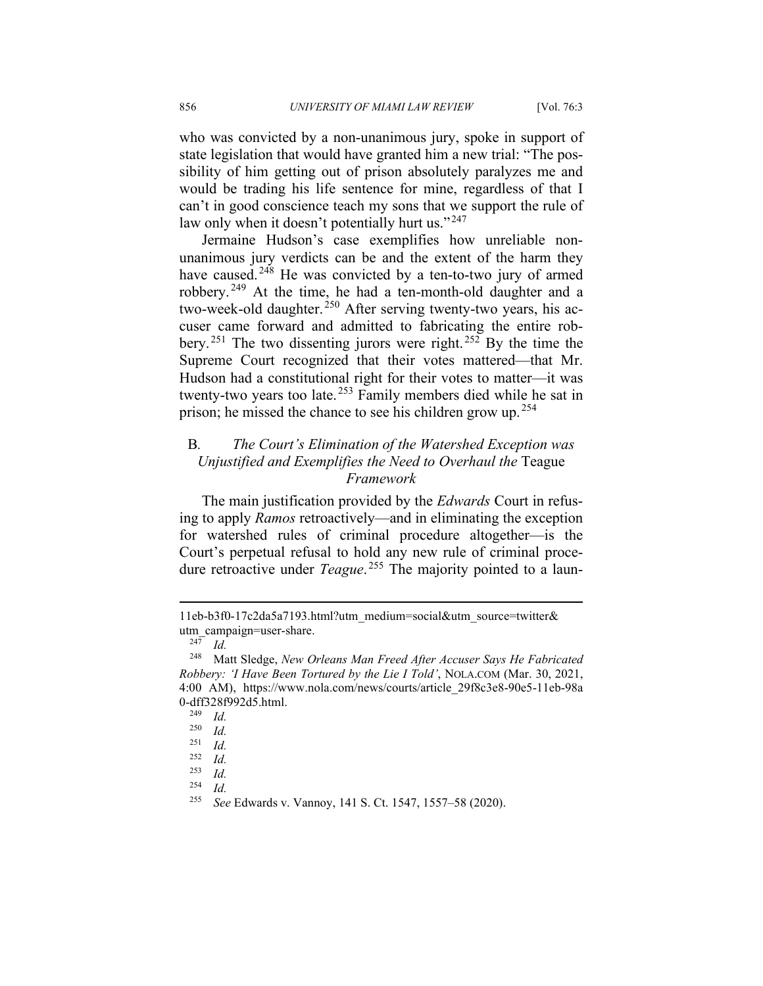who was convicted by a non-unanimous jury, spoke in support of state legislation that would have granted him a new trial: "The possibility of him getting out of prison absolutely paralyzes me and would be trading his life sentence for mine, regardless of that I can't in good conscience teach my sons that we support the rule of law only when it doesn't potentially hurt us."<sup>[247](#page-32-0)</sup>

Jermaine Hudson's case exemplifies how unreliable nonunanimous jury verdicts can be and the extent of the harm they have caused.<sup>[248](#page-32-1)</sup> He was convicted by a ten-to-two jury of armed robbery. [249](#page-32-2) At the time, he had a ten-month-old daughter and a two-week-old daughter.<sup>[250](#page-32-3)</sup> After serving twenty-two years, his accuser came forward and admitted to fabricating the entire robbery. [251](#page-32-4) The two dissenting jurors were right. [252](#page-32-5) By the time the Supreme Court recognized that their votes mattered—that Mr. Hudson had a constitutional right for their votes to matter—it was twenty-two years too late. [253](#page-32-6) Family members died while he sat in prison; he missed the chance to see his children grow up. <sup>[254](#page-32-7)</sup>

# B*. The Court's Elimination of the Watershed Exception was Unjustified and Exemplifies the Need to Overhaul the* Teague *Framework*

The main justification provided by the *Edwards* Court in refusing to apply *Ramos* retroactively—and in eliminating the exception for watershed rules of criminal procedure altogether—is the Court's perpetual refusal to hold any new rule of criminal procedure retroactive under *Teague*. [255](#page-32-8) The majority pointed to a laun-

<sup>11</sup>eb-b3f0-17c2da5a7193.html?utm\_medium=social&utm\_source=twitter& utm\_campaign=user-share.

 $\frac{247}{248}$  *Id.* 

<span id="page-32-2"></span><span id="page-32-1"></span><span id="page-32-0"></span><sup>248</sup> Matt Sledge, *New Orleans Man Freed After Accuser Says He Fabricated Robbery: 'I Have Been Tortured by the Lie I Told'*, NOLA.COM (Mar. 30, 2021, 4:00 AM), https://www.nola.com/news/courts/article\_29f8c3e8-90e5-11eb-98a 0-dff328f992d5.html.<br>
<sup>249</sup> *Id* 

*Id.* 

<span id="page-32-3"></span> $\frac{250}{251}$  *Id.* 

<span id="page-32-4"></span> $\frac{251}{252}$  *Id.* 

<span id="page-32-6"></span><span id="page-32-5"></span> $\frac{252}{253}$  *Id.* 

<span id="page-32-7"></span> $\frac{253}{254}$  *Id.*  $\frac{254}{255}$  *Id.* 

<span id="page-32-8"></span><sup>255</sup> *See* Edwards v. Vannoy, 141 S. Ct. 1547, 1557–58 (2020).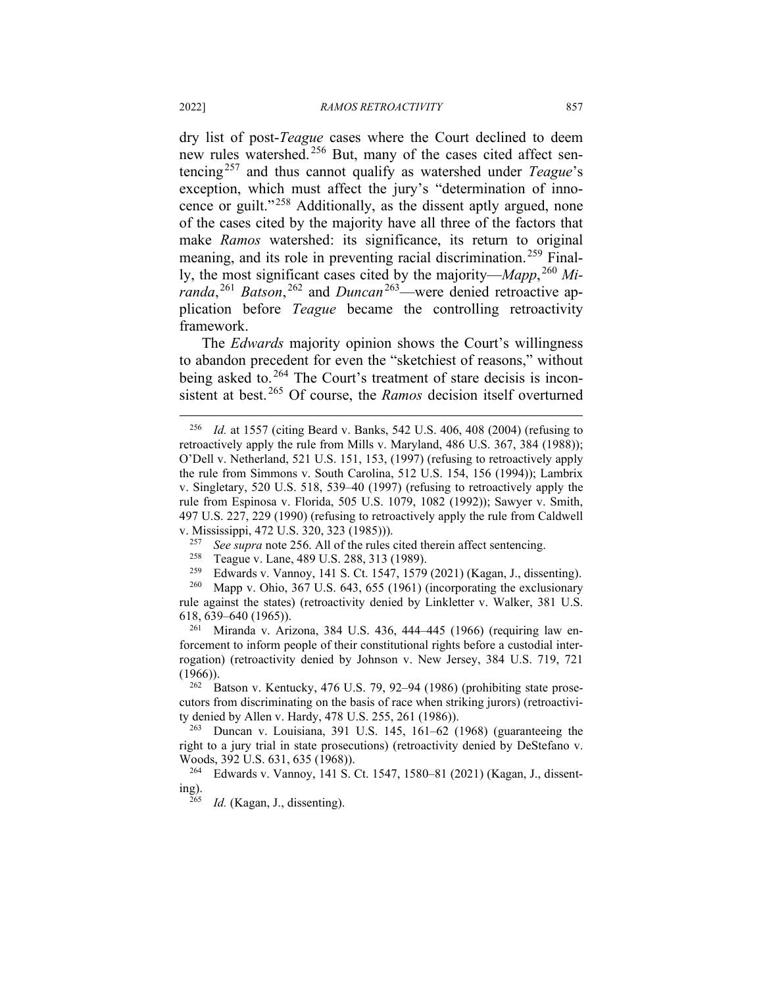dry list of post-*Teague* cases where the Court declined to deem new rules watershed.<sup>[256](#page-33-0)</sup> But, many of the cases cited affect sentencing[257](#page-33-1) and thus cannot qualify as watershed under *Teague*'s exception, which must affect the jury's "determination of inno-cence or guilt."<sup>[258](#page-33-2)</sup> Additionally, as the dissent aptly argued, none of the cases cited by the majority have all three of the factors that make *Ramos* watershed: its significance, its return to original meaning, and its role in preventing racial discrimination.<sup>[259](#page-33-3)</sup> Finally, the most significant cases cited by the majority—*Mapp*, [260](#page-33-4) *Miranda*,<sup>[261](#page-33-5)</sup> *Batson*,<sup>[262](#page-33-6)</sup> and *Duncan*<sup>[263](#page-33-7)</sup>—were denied retroactive application before *Teague* became the controlling retroactivity framework.

The *Edwards* majority opinion shows the Court's willingness to abandon precedent for even the "sketchiest of reasons," without being asked to.<sup>[264](#page-33-8)</sup> The Court's treatment of stare decisis is inconsistent at best. [265](#page-33-9) Of course, the *Ramos* decision itself overturned

<span id="page-33-5"></span><sup>261</sup> Miranda v. Arizona, 384 U.S. 436, 444–445 (1966) (requiring law enforcement to inform people of their constitutional rights before a custodial interrogation) (retroactivity denied by Johnson v. New Jersey, 384 U.S. 719, 721  $(1966)$ ).

<span id="page-33-6"></span> $262$  Batson v. Kentucky, 476 U.S. 79, 92–94 (1986) (prohibiting state prosecutors from discriminating on the basis of race when striking jurors) (retroactivity denied by Allen v. Hardy, 478 U.S. 255, 261 (1986)).

<span id="page-33-7"></span><sup>263</sup> Duncan v. Louisiana, 391 U.S. 145, 161–62 (1968) (guaranteeing the right to a jury trial in state prosecutions) (retroactivity denied by DeStefano v. Woods, 392 U.S. 631, 635 (1968)).

<span id="page-33-9"></span><span id="page-33-8"></span><sup>264</sup> Edwards v. Vannoy, 141 S. Ct. 1547, 1580–81 (2021) (Kagan, J., dissenting).

*Id.* (Kagan, J., dissenting).

<span id="page-33-0"></span><sup>256</sup> *Id.* at 1557 (citing Beard v. Banks, 542 U.S. 406, 408 (2004) (refusing to retroactively apply the rule from Mills v. Maryland, 486 U.S. 367, 384 (1988)); O'Dell v. Netherland, 521 U.S. 151, 153, (1997) (refusing to retroactively apply the rule from Simmons v. South Carolina, 512 U.S. 154, 156 (1994)); Lambrix v. Singletary, 520 U.S. 518, 539–40 (1997) (refusing to retroactively apply the rule from Espinosa v. Florida, 505 U.S. 1079, 1082 (1992)); Sawyer v. Smith, 497 U.S. 227, 229 (1990) (refusing to retroactively apply the rule from Caldwell v. Mississippi, 472 U.S. 320, 323 (1985))).<br>257 See sunga pote 256, All of the rules

See *supra* note 256. All of the rules cited therein affect sentencing.

<sup>&</sup>lt;sup>258</sup> Teague v. Lane, 489 U.S. 288, 313 (1989).<br><sup>259</sup> Edwards v. Vannov. 141 S. Ct. 1547–1579

<sup>&</sup>lt;sup>259</sup> Edwards v. Vannoy, 141 S. Ct. 1547, 1579 (2021) (Kagan, J., dissenting).<br><sup>260</sup> Mann v. Objo, 367 U.S. 643, 655 (1961) (incorporating the exclusionary

<span id="page-33-4"></span><span id="page-33-3"></span><span id="page-33-2"></span><span id="page-33-1"></span>Mapp v. Ohio, 367 U.S. 643, 655 (1961) (incorporating the exclusionary rule against the states) (retroactivity denied by Linkletter v. Walker, 381 U.S. 618, 639–640 (1965)).<br> $\frac{^{261}}{10}$  Miranda y Ari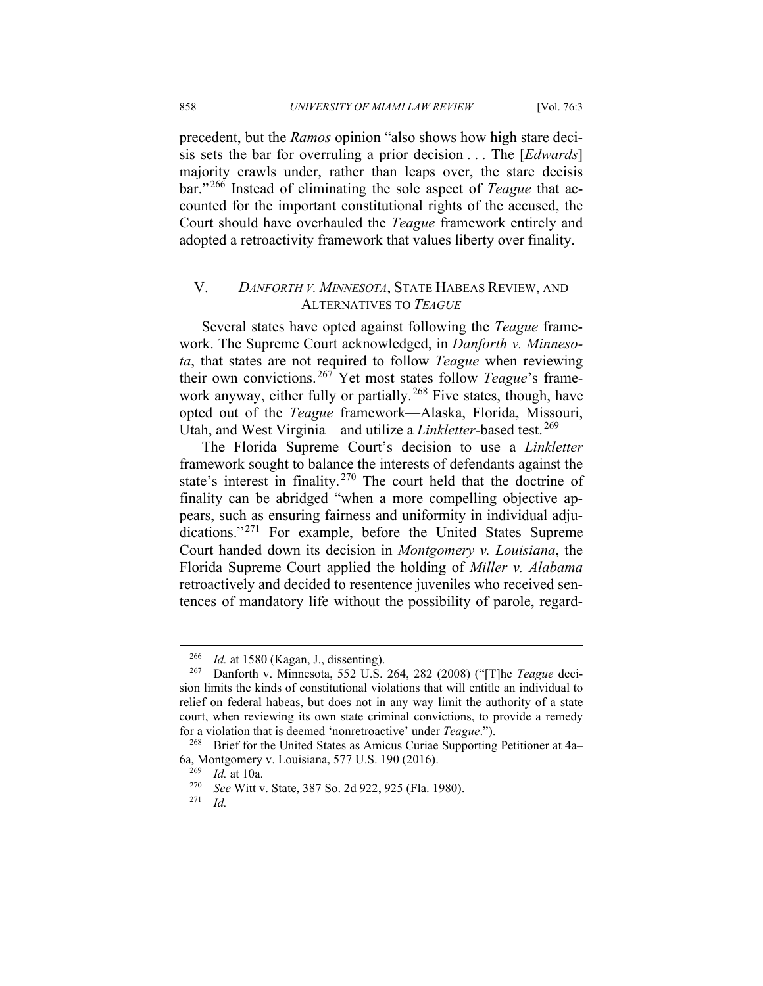precedent, but the *Ramos* opinion "also shows how high stare decisis sets the bar for overruling a prior decision . . . The [*Edwards*] majority crawls under, rather than leaps over, the stare decisis bar." [266](#page-34-0) Instead of eliminating the sole aspect of *Teague* that accounted for the important constitutional rights of the accused, the Court should have overhauled the *Teague* framework entirely and adopted a retroactivity framework that values liberty over finality.

### V. *DANFORTH V. MINNESOTA*, STATE HABEAS REVIEW, AND ALTERNATIVES TO *TEAGUE*

Several states have opted against following the *Teague* framework. The Supreme Court acknowledged, in *Danforth v. Minnesota*, that states are not required to follow *Teague* when reviewing their own convictions. [267](#page-34-1) Yet most states follow *Teague*'s frame-work anyway, either fully or partially.<sup>[268](#page-34-2)</sup> Five states, though, have opted out of the *Teague* framework—Alaska, Florida, Missouri, Utah, and West Virginia—and utilize a *Linkletter*-based test. [269](#page-34-3)

The Florida Supreme Court's decision to use a *Linkletter* framework sought to balance the interests of defendants against the state's interest in finality.<sup>[270](#page-34-4)</sup> The court held that the doctrine of finality can be abridged "when a more compelling objective appears, such as ensuring fairness and uniformity in individual adju-dications."<sup>[271](#page-34-5)</sup> For example, before the United States Supreme Court handed down its decision in *Montgomery v. Louisiana*, the Florida Supreme Court applied the holding of *Miller v. Alabama*  retroactively and decided to resentence juveniles who received sentences of mandatory life without the possibility of parole, regard-

<sup>&</sup>lt;sup>266</sup> *Id.* at 1580 (Kagan, J., dissenting).<br><sup>267</sup> Denforth v. Minnesota, 552 U.S.

<span id="page-34-1"></span><span id="page-34-0"></span><sup>267</sup> Danforth v. Minnesota, 552 U.S. 264, 282 (2008) ("[T]he *Teague* decision limits the kinds of constitutional violations that will entitle an individual to relief on federal habeas, but does not in any way limit the authority of a state court, when reviewing its own state criminal convictions, to provide a remedy for a violation that is deemed 'nonretroactive' under *Teague*.").

<span id="page-34-4"></span><span id="page-34-3"></span><span id="page-34-2"></span><sup>268</sup> Brief for the United States as Amicus Curiae Supporting Petitioner at 4a– 6a, Montgomery v. Louisiana, 577 U.S. 190 (2016).

<sup>269</sup> *Id.* at 10a.

<span id="page-34-5"></span><sup>&</sup>lt;sup>270</sup> *See* Witt v. State, 387 So. 2d 922, 925 (Fla. 1980).

*Id.*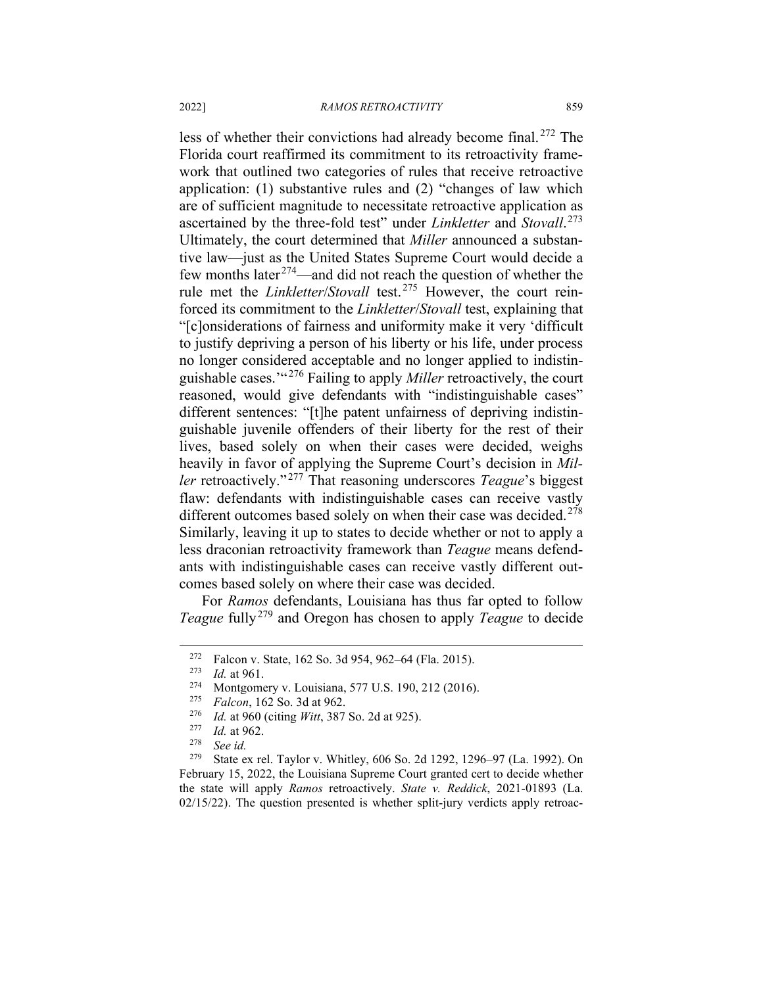less of whether their convictions had already become final. [272](#page-35-0) The Florida court reaffirmed its commitment to its retroactivity framework that outlined two categories of rules that receive retroactive application: (1) substantive rules and (2) "changes of law which are of sufficient magnitude to necessitate retroactive application as ascertained by the three-fold test" under *Linkletter* and *Stovall*. [273](#page-35-1) Ultimately, the court determined that *Miller* announced a substantive law—just as the United States Supreme Court would decide a few months later<sup> $274$ </sup>—and did not reach the question of whether the rule met the *Linkletter*/*Stovall* test.[275](#page-35-3) However, the court reinforced its commitment to the *Linkletter*/*Stovall* test, explaining that "[c]onsiderations of fairness and uniformity make it very 'difficult to justify depriving a person of his liberty or his life, under process no longer considered acceptable and no longer applied to indistinguishable cases.'" [276](#page-35-4) Failing to apply *Miller* retroactively, the court reasoned, would give defendants with "indistinguishable cases" different sentences: "[t]he patent unfairness of depriving indistinguishable juvenile offenders of their liberty for the rest of their lives, based solely on when their cases were decided, weighs heavily in favor of applying the Supreme Court's decision in *Miller* retroactively." [277](#page-35-5) That reasoning underscores *Teague*'s biggest flaw: defendants with indistinguishable cases can receive vastly different outcomes based solely on when their case was decided.<sup>[278](#page-35-6)</sup> Similarly, leaving it up to states to decide whether or not to apply a less draconian retroactivity framework than *Teague* means defendants with indistinguishable cases can receive vastly different outcomes based solely on where their case was decided.

For *Ramos* defendants, Louisiana has thus far opted to follow *Teague* fully<sup>[279](#page-35-7)</sup> and Oregon has chosen to apply *Teague* to decide

<span id="page-35-1"></span><span id="page-35-0"></span><sup>&</sup>lt;sup>272</sup> Falcon v. State, 162 So. 3d 954, 962–64 (Fla. 2015).

<span id="page-35-2"></span> $\frac{273}{274}$  *Id.* at 961.

<sup>&</sup>lt;sup>274</sup> Montgomery v. Louisiana, 577 U.S. 190, 212 (2016).<br><sup>275</sup> Ealcon, 162 So, 3d at 962.

<sup>&</sup>lt;sup>275</sup> *Falcon*, 162 So. 3d at 962.<br><sup>276</sup> *Id.* at 960 (citing *Witt* 287)

*Id.* at 960 (citing *Witt*, 387 So. 2d at 925).

 $\frac{277}{278}$  *Id.* at 962.

<sup>278</sup> *See id.*

<span id="page-35-7"></span><span id="page-35-6"></span><span id="page-35-5"></span><span id="page-35-4"></span><span id="page-35-3"></span>State ex rel. Taylor v. Whitley, 606 So. 2d 1292, 1296–97 (La. 1992). On February 15, 2022, the Louisiana Supreme Court granted cert to decide whether the state will apply *Ramos* retroactively. *State v. Reddick*, 2021-01893 (La.  $02/15/22$ ). The question presented is whether split-jury verdicts apply retroac-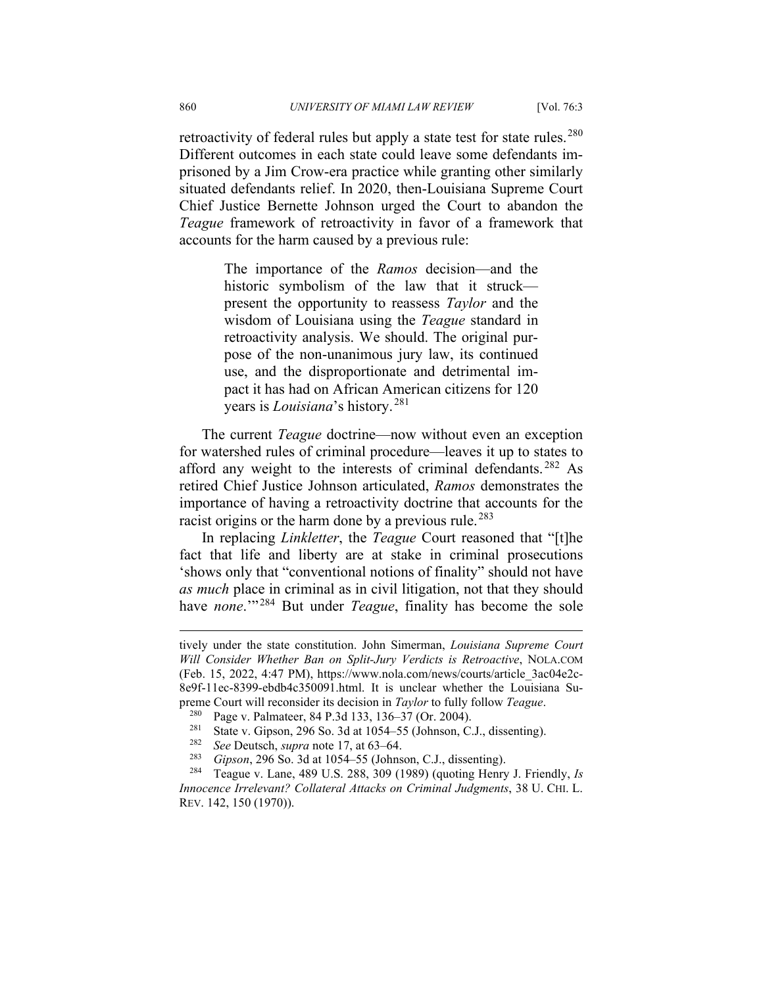retroactivity of federal rules but apply a state test for state rules.<sup>[280](#page-36-0)</sup> Different outcomes in each state could leave some defendants imprisoned by a Jim Crow-era practice while granting other similarly situated defendants relief. In 2020, then-Louisiana Supreme Court Chief Justice Bernette Johnson urged the Court to abandon the *Teague* framework of retroactivity in favor of a framework that accounts for the harm caused by a previous rule:

> The importance of the *Ramos* decision—and the historic symbolism of the law that it struck present the opportunity to reassess *Taylor* and the wisdom of Louisiana using the *Teague* standard in retroactivity analysis. We should. The original purpose of the non-unanimous jury law, its continued use, and the disproportionate and detrimental impact it has had on African American citizens for 120 years is *Louisiana*'s history. [281](#page-36-1)

The current *Teague* doctrine—now without even an exception for watershed rules of criminal procedure—leaves it up to states to afford any weight to the interests of criminal defendants. [282](#page-36-2) As retired Chief Justice Johnson articulated, *Ramos* demonstrates the importance of having a retroactivity doctrine that accounts for the racist origins or the harm done by a previous rule.<sup>[283](#page-36-3)</sup>

In replacing *Linkletter*, the *Teague* Court reasoned that "[t]he fact that life and liberty are at stake in criminal prosecutions 'shows only that "conventional notions of finality" should not have *as much* place in criminal as in civil litigation, not that they should have *none*."<sup>[284](#page-36-4)</sup> But under *Teague*, finality has become the sole

tively under the state constitution. John Simerman, *Louisiana Supreme Court Will Consider Whether Ban on Split-Jury Verdicts is Retroactive*, NOLA.COM (Feb. 15, 2022, 4:47 PM), https://www.nola.com/news/courts/article\_3ac04e2c-8e9f-11ec-8399-ebdb4c350091.html. It is unclear whether the Louisiana Supreme Court will reconsider its decision in *Taylor* to fully follow *Teague*.

Page v. Palmateer, 84 P.3d 133, 136–37 (Or. 2004).

<sup>&</sup>lt;sup>281</sup> State v. Gipson, 296 So. 3d at 1054–55 (Johnson, C.J., dissenting).<br><sup>282</sup> See Deutsch, sung note 17, at 63, 64

<sup>282</sup> *See* Deutsch, *supra* note 17, at 63–64.

<sup>283</sup> *Gipson*, 296 So. 3d at 1054–55 (Johnson, C.J., dissenting).

<span id="page-36-4"></span><span id="page-36-3"></span><span id="page-36-2"></span><span id="page-36-1"></span><span id="page-36-0"></span><sup>284</sup> Teague v. Lane, 489 U.S. 288, 309 (1989) (quoting Henry J. Friendly, *Is Innocence Irrelevant? Collateral Attacks on Criminal Judgments*, 38 U. CHI. L. REV. 142, 150 (1970)).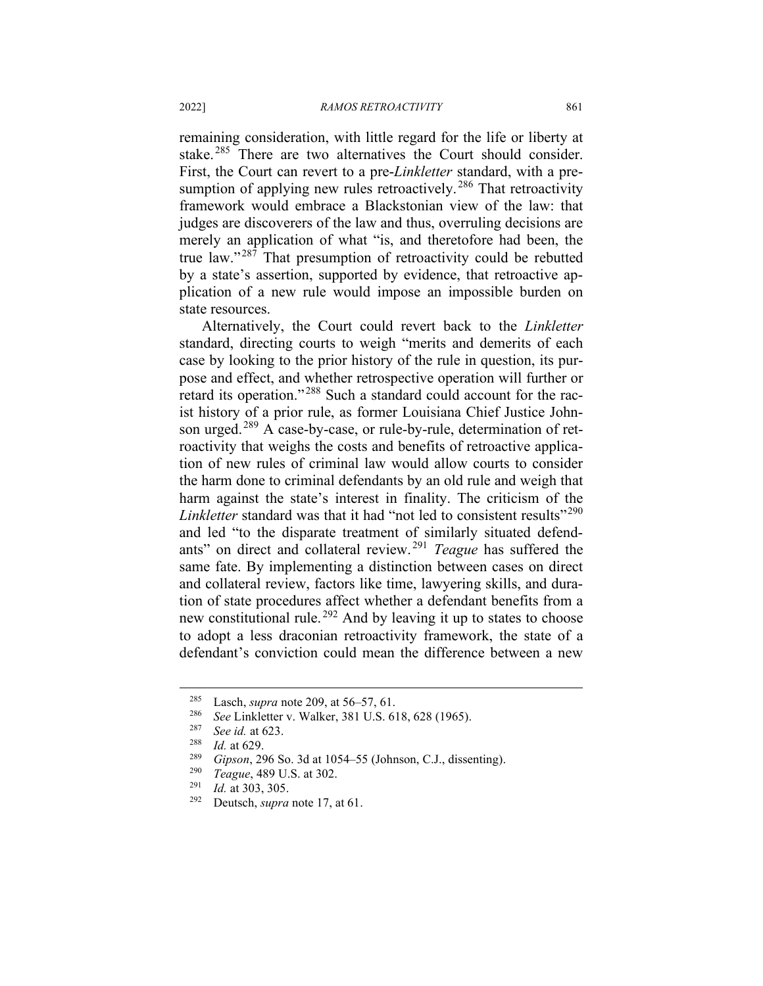remaining consideration, with little regard for the life or liberty at stake.<sup>[285](#page-37-0)</sup> There are two alternatives the Court should consider. First, the Court can revert to a pre-*Linkletter* standard, with a pre-sumption of applying new rules retroactively.<sup>[286](#page-37-1)</sup> That retroactivity framework would embrace a Blackstonian view of the law: that judges are discoverers of the law and thus, overruling decisions are merely an application of what "is, and theretofore had been, the true law."<sup>[287](#page-37-2)</sup> That presumption of retroactivity could be rebutted by a state's assertion, supported by evidence, that retroactive application of a new rule would impose an impossible burden on state resources.

Alternatively, the Court could revert back to the *Linkletter*  standard, directing courts to weigh "merits and demerits of each case by looking to the prior history of the rule in question, its purpose and effect, and whether retrospective operation will further or retard its operation."<sup>[288](#page-37-3)</sup> Such a standard could account for the racist history of a prior rule, as former Louisiana Chief Justice John-son urged.<sup>[289](#page-37-4)</sup> A case-by-case, or rule-by-rule, determination of retroactivity that weighs the costs and benefits of retroactive application of new rules of criminal law would allow courts to consider the harm done to criminal defendants by an old rule and weigh that harm against the state's interest in finality. The criticism of the *Linkletter* standard was that it had "not led to consistent results"<sup>[290](#page-37-5)</sup> and led "to the disparate treatment of similarly situated defendants" on direct and collateral review. [291](#page-37-6) *Teague* has suffered the same fate. By implementing a distinction between cases on direct and collateral review, factors like time, lawyering skills, and duration of state procedures affect whether a defendant benefits from a new constitutional rule. [292](#page-37-7) And by leaving it up to states to choose to adopt a less draconian retroactivity framework, the state of a defendant's conviction could mean the difference between a new

<sup>&</sup>lt;sup>285</sup> Lasch, *supra* note 209, at 56–57, 61.<br><sup>286</sup> See Linkletter v. Wolker, <sup>281 H</sup>S

<span id="page-37-2"></span><span id="page-37-1"></span><span id="page-37-0"></span><sup>286</sup> *See* Linkletter v. Walker, 381 U.S. 618, 628 (1965).

<span id="page-37-3"></span> $\frac{287}{288}$  *See id.* at 623.

<sup>288</sup> *Id.* at 629.

<span id="page-37-4"></span><sup>289</sup> *Gipson*, 296 So. 3d at 1054–55 (Johnson, C.J., dissenting).

<span id="page-37-5"></span><sup>&</sup>lt;sup>290</sup> *Teague*, 489 U.S. at 302.<br><sup>291</sup> *Id.* at 303, 305

<span id="page-37-7"></span><span id="page-37-6"></span> $\frac{291}{292}$  *Id.* at 303, 305.

Deutsch, *supra* note 17, at 61.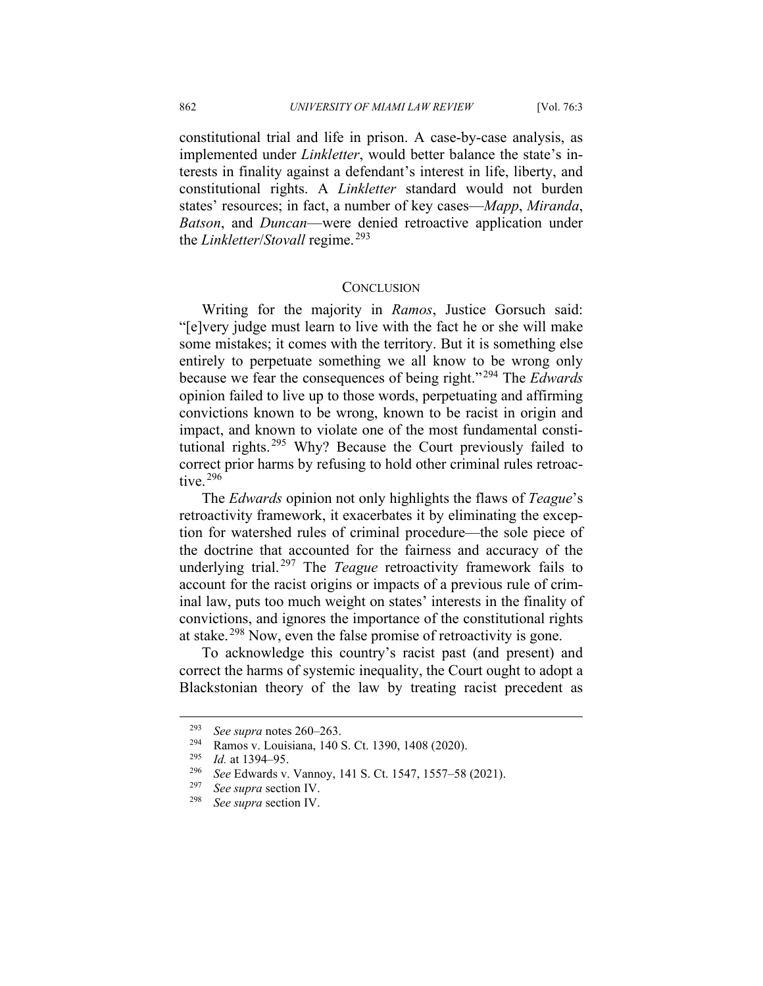constitutional trial and life in prison. A case-by-case analysis, as implemented under *Linkletter*, would better balance the state's interests in finality against a defendant's interest in life, liberty, and constitutional rights. A *Linkletter* standard would not burden states' resources; in fact, a number of key cases—*Mapp*, *Miranda*, *Batson*, and *Duncan*—were denied retroactive application under the *Linkletter*/*Stovall* regime. [293](#page-38-0)

### **CONCLUSION**

Writing for the majority in *Ramos*, Justice Gorsuch said: "[e]very judge must learn to live with the fact he or she will make some mistakes; it comes with the territory. But it is something else entirely to perpetuate something we all know to be wrong only because we fear the consequences of being right." [294](#page-38-1) The *Edwards*  opinion failed to live up to those words, perpetuating and affirming convictions known to be wrong, known to be racist in origin and impact, and known to violate one of the most fundamental constitutional rights.[295](#page-38-2) Why? Because the Court previously failed to correct prior harms by refusing to hold other criminal rules retroac-tive.<sup>[296](#page-38-3)</sup>

The *Edwards* opinion not only highlights the flaws of *Teague*'s retroactivity framework, it exacerbates it by eliminating the exception for watershed rules of criminal procedure—the sole piece of the doctrine that accounted for the fairness and accuracy of the underlying trial. [297](#page-38-4) The *Teague* retroactivity framework fails to account for the racist origins or impacts of a previous rule of criminal law, puts too much weight on states' interests in the finality of convictions, and ignores the importance of the constitutional rights at stake. [298](#page-38-5) Now, even the false promise of retroactivity is gone.

To acknowledge this country's racist past (and present) and correct the harms of systemic inequality, the Court ought to adopt a Blackstonian theory of the law by treating racist precedent as

<span id="page-38-1"></span><span id="page-38-0"></span><sup>&</sup>lt;sup>293</sup> *See supra* notes 260–263.<br><sup>294</sup> **B**amos v. Louisiana 140.

<sup>&</sup>lt;sup>294</sup> Ramos v. Louisiana, 140 S. Ct. 1390, 1408 (2020).

<span id="page-38-2"></span><sup>&</sup>lt;sup>295</sup> *Id.* at 1394–95.

<span id="page-38-4"></span><span id="page-38-3"></span><sup>296</sup> *See* Edwards v. Vannoy, 141 S. Ct. 1547, 1557–58 (2021).

<sup>297</sup> *See supra* section IV.

<span id="page-38-5"></span>See *supra* section IV.